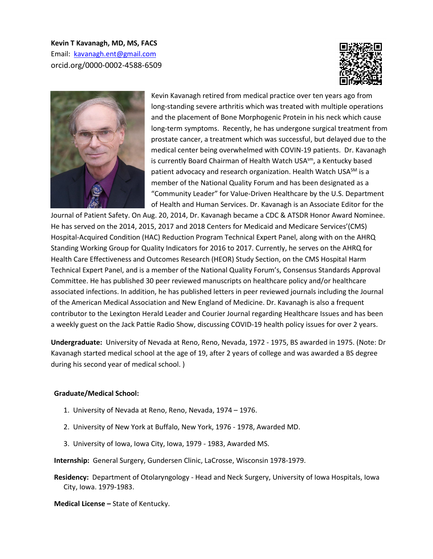**Kevin T Kavanagh, MD, MS, FACS**  Email: [kavanagh.ent@gmail.com](mailto:kavanagh.ent@gmail.com)  orcid.org/0000-0002-4588-6509





Kevin Kavanagh retired from medical practice over ten years ago from long-standing severe arthritis which was treated with multiple operations and the placement of Bone Morphogenic Protein in his neck which cause long-term symptoms. Recently, he has undergone surgical treatment from prostate cancer, a treatment which was successful, but delayed due to the medical center being overwhelmed with COVIN-19 patients. Dr. Kavanagh is currently Board Chairman of Health Watch USA<sup>sm</sup>, a Kentucky based patient advocacy and research organization. Health Watch USA<sup>SM</sup> is a member of the National Quality Forum and has been designated as a "Community Leader" for Value-Driven Healthcare by the U.S. Department of Health and Human Services. Dr. Kavanagh is an Associate Editor for the

Journal of Patient Safety. On Aug. 20, 2014, Dr. Kavanagh became a CDC & ATSDR Honor Award Nominee. He has served on the 2014, 2015, 2017 and 2018 Centers for Medicaid and Medicare Services'(CMS) Hospital-Acquired Condition (HAC) Reduction Program Technical Expert Panel, along with on the AHRQ Standing Working Group for Quality Indicators for 2016 to 2017. Currently, he serves on the AHRQ for Health Care Effectiveness and Outcomes Research (HEOR) Study Section, on the CMS Hospital Harm Technical Expert Panel, and is a member of the National Quality Forum's, Consensus Standards Approval Committee. He has published 30 peer reviewed manuscripts on healthcare policy and/or healthcare associated infections. In addition, he has published letters in peer reviewed journals including the Journal of the American Medical Association and New England of Medicine. Dr. Kavanagh is also a frequent contributor to the Lexington Herald Leader and Courier Journal regarding Healthcare Issues and has been a weekly guest on the Jack Pattie Radio Show, discussing COVID-19 health policy issues for over 2 years.

**Undergraduate:** University of Nevada at Reno, Reno, Nevada, 1972 - 1975, BS awarded in 1975. (Note: Dr Kavanagh started medical school at the age of 19, after 2 years of college and was awarded a BS degree during his second year of medical school. )

#### **Graduate/Medical School:**

- 1. University of Nevada at Reno, Reno, Nevada, 1974 1976.
- 2. University of New York at Buffalo, New York, 1976 1978, Awarded MD.
- 3. University of Iowa, Iowa City, Iowa, 1979 1983, Awarded MS.

**Internship:** General Surgery, Gundersen Clinic, LaCrosse, Wisconsin 1978-1979.

**Residency:** Department of Otolaryngology - Head and Neck Surgery, University of Iowa Hospitals, Iowa City, Iowa. 1979-1983.

**Medical License –** State of Kentucky.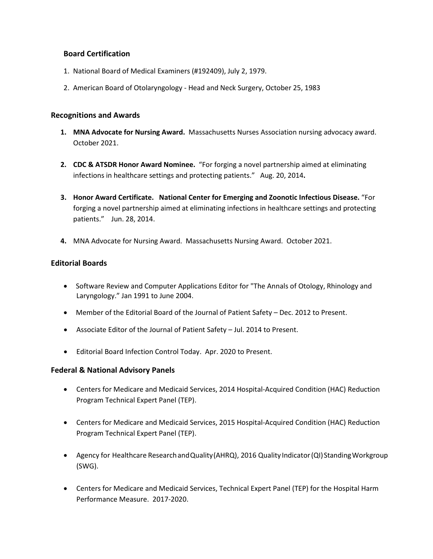# **Board Certification**

- 1. National Board of Medical Examiners (#192409), July 2, 1979.
- 2. American Board of Otolaryngology Head and Neck Surgery, October 25, 1983

### **Recognitions and Awards**

- **1. MNA Advocate for Nursing Award.** Massachusetts Nurses Association nursing advocacy award. October 2021.
- **2. CDC & ATSDR Honor Award Nominee.** "For forging a novel partnership aimed at eliminating infections in healthcare settings and protecting patients." Aug. 20, 2014**.**
- **3. Honor Award Certificate. National Center for Emerging and Zoonotic Infectious Disease.** "For forging a novel partnership aimed at eliminating infections in healthcare settings and protecting patients." Jun. 28, 2014.
- **4.** MNA Advocate for Nursing Award. Massachusetts Nursing Award. October 2021.

# **Editorial Boards**

- Software Review and Computer Applications Editor for "The Annals of Otology, Rhinology and Laryngology." Jan 1991 to June 2004.
- Member of the Editorial Board of the Journal of Patient Safety Dec. 2012 to Present.
- Associate Editor of the Journal of Patient Safety Jul. 2014 to Present.
- Editorial Board Infection Control Today. Apr. 2020 to Present.

# **Federal & National Advisory Panels**

- Centers for Medicare and Medicaid Services, 2014 Hospital-Acquired Condition (HAC) Reduction Program Technical Expert Panel (TEP).
- Centers for Medicare and Medicaid Services, 2015 Hospital-Acquired Condition (HAC) Reduction Program Technical Expert Panel (TEP).
- Agency for Healthcare Research and Quality (AHRQ), 2016 Quality Indicator (QI) Standing Workgroup (SWG).
- Centers for Medicare and Medicaid Services, Technical Expert Panel (TEP) for the Hospital Harm Performance Measure. 2017-2020.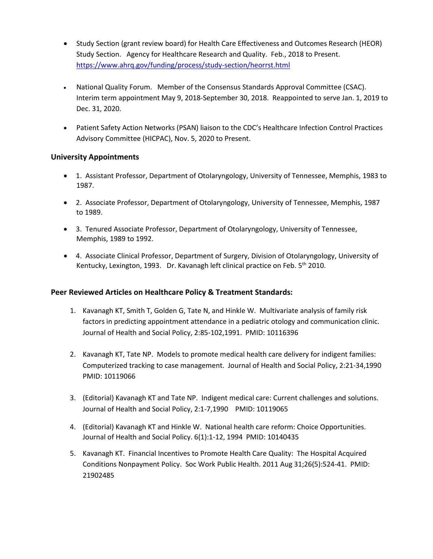- Study Section (grant review board) for Health Care Effectiveness and Outcomes Research (HEOR) Study Section. Agency for Healthcare Research and Quality. Feb., 2018 to Present. <https://www.ahrq.gov/funding/process/study-section/heorrst.html>
- National Quality Forum. Member of the Consensus Standards Approval Committee (CSAC). Interim term appointment May 9, 2018-September 30, 2018. Reappointed to serve Jan. 1, 2019 to Dec. 31, 2020.
- Patient Safety Action Networks (PSAN) liaison to the CDC's Healthcare Infection Control Practices Advisory Committee (HICPAC), Nov. 5, 2020 to Present.

# **University Appointments**

- 1. Assistant Professor, Department of Otolaryngology, University of Tennessee, Memphis, 1983 to 1987.
- 2. Associate Professor, Department of Otolaryngology, University of Tennessee, Memphis, 1987 to 1989.
- 3. Tenured Associate Professor, Department of Otolaryngology, University of Tennessee, Memphis, 1989 to 1992.
- 4. Associate Clinical Professor, Department of Surgery, Division of Otolaryngology, University of Kentucky, Lexington, 1993. Dr. Kavanagh left clinical practice on Feb. 5<sup>th</sup> 2010.

# **Peer Reviewed Articles on Healthcare Policy & Treatment Standards:**

- 1. Kavanagh KT, Smith T, Golden G, Tate N, and Hinkle W. Multivariate analysis of family risk factors in predicting appointment attendance in a pediatric otology and communication clinic. Journal of Health and Social Policy, 2:85-102,1991. PMID: 10116396
- 2. Kavanagh KT, Tate NP. Models to promote medical health care delivery for indigent families: Computerized tracking to case management. Journal of Health and Social Policy, 2:21-34,1990 PMID: 10119066
- 3. (Editorial) Kavanagh KT and Tate NP. Indigent medical care: Current challenges and solutions. Journal of Health and Social Policy, 2:1-7,1990 PMID: 10119065
- 4. (Editorial) Kavanagh KT and Hinkle W. National health care reform: Choice Opportunities. Journal of Health and Social Policy. 6(1):1-12, 1994 PMID: 10140435
- 5. Kavanagh KT. Financial Incentives to Promote Health Care Quality: The Hospital Acquired Conditions Nonpayment Policy. Soc Work Public Health. 2011 Aug 31;26(5):524-41. PMID: 21902485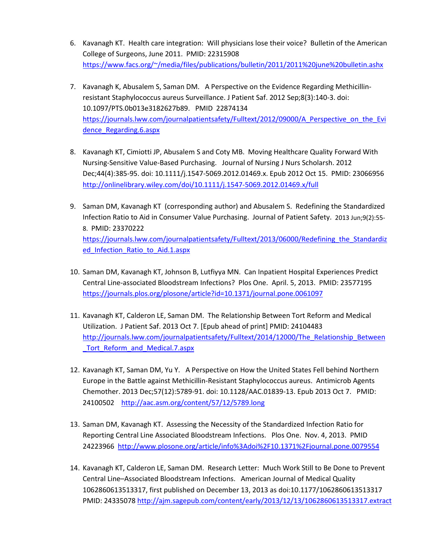- 6. Kavanagh KT. Health care integration: Will physicians lose their voice? Bulletin of the American College of Surgeons, June 2011. PMID: 22315908 [https://www.facs.org/~/media/files/publications/bulletin/2011/2011%20june%20bulletin.ashx](https://www.facs.org/%7E/media/files/publications/bulletin/2011/2011%20june%20bulletin.ashx)
- 7. Kavanagh K, Abusalem S, Saman DM. A Perspective on the Evidence Regarding Methicillinresistant Staphylococcus aureus Surveillance. J Patient Saf. 2012 Sep;8(3):140-3. doi: 10.1097/PTS.0b013e3182627b89. PMID 22874134 https://journals.lww.com/journalpatientsafety/Fulltext/2012/09000/A Perspective on the Evi [dence\\_Regarding.6.aspx](https://journals.lww.com/journalpatientsafety/Fulltext/2012/09000/A_Perspective_on_the_Evidence_Regarding.6.aspx)
- 8. Kavanagh KT, Cimiotti JP, Abusalem S and Coty MB. Moving Healthcare Quality Forward With Nursing-Sensitive Value-Based Purchasing. Journal of Nursing J Nurs Scholarsh. 2012 Dec;44(4):385-95. doi: 10.1111/j.1547-5069.2012.01469.x. Epub 2012 Oct 15. PMID: 23066956 <http://onlinelibrary.wiley.com/doi/10.1111/j.1547-5069.2012.01469.x/full>
- 9. Saman DM, Kavanagh KT (corresponding author) and Abusalem S. Redefining the Standardized Infection Ratio to Aid in Consumer Value Purchasing. Journal of Patient Safety. 2013 Jun;9(2):55- 8. PMID: 23370222 [https://journals.lww.com/journalpatientsafety/Fulltext/2013/06000/Redefining\\_the\\_Standardiz](https://journals.lww.com/journalpatientsafety/Fulltext/2013/06000/Redefining_the_Standardized_Infection_Ratio_to_Aid.1.aspx) ed Infection Ratio to Aid.1.aspx
- 10. Saman DM, Kavanagh KT, Johnson B, Lutfiyya MN. Can Inpatient Hospital Experiences Predict Central Line-associated Bloodstream Infections? Plos One. April. 5, 2013. PMID: 23577195 <https://journals.plos.org/plosone/article?id=10.1371/journal.pone.0061097>
- 11. Kavanagh KT, Calderon LE, Saman DM. The Relationship Between Tort Reform and Medical Utilization. J Patient Saf. 2013 Oct 7. [Epub ahead of print] PMID: 24104483 http://journals.lww.com/journalpatientsafety/Fulltext/2014/12000/The Relationship Between Tort Reform and Medical.7.aspx
- 12. Kavanagh KT, Saman DM, Yu Y. A Perspective on How the United States Fell behind Northern Europe in the Battle against Methicillin-Resistant Staphylococcus aureus. Antimicrob Agents Chemother. 2013 Dec;57(12):5789-91. doi: 10.1128/AAC.01839-13. Epub 2013 Oct 7. PMID: 24100502 <http://aac.asm.org/content/57/12/5789.long>
- 13. Saman DM, Kavanagh KT. Assessing the Necessity of the Standardized Infection Ratio for Reporting Central Line Associated Bloodstream Infections. Plos One. Nov. 4, 2013. PMID 24223966<http://www.plosone.org/article/info%3Adoi%2F10.1371%2Fjournal.pone.0079554>
- 14. Kavanagh KT, Calderon LE, Saman DM. Research Letter: Much Work Still to Be Done to Prevent Central Line–Associated Bloodstream Infections. American Journal of Medical Quality 1062860613513317, first published on December 13, 2013 as doi:10.1177/1062860613513317 PMID: 24335078<http://ajm.sagepub.com/content/early/2013/12/13/1062860613513317.extract>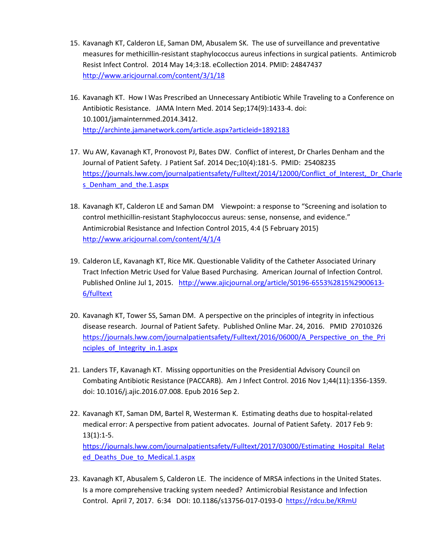- 15. Kavanagh KT, Calderon LE, Saman DM, Abusalem SK. The use of surveillance and preventative measures for methicillin-resistant staphylococcus aureus infections in surgical patients. Antimicrob Resist Infect Control. 2014 May 14;3:18. eCollection 2014. PMID: 24847437 <http://www.aricjournal.com/content/3/1/18>
- 16. Kavanagh KT. How I Was Prescribed an Unnecessary Antibiotic While Traveling to a Conference on Antibiotic Resistance. JAMA Intern Med. 2014 Sep;174(9):1433-4. doi: 10.1001/jamainternmed.2014.3412. <http://archinte.jamanetwork.com/article.aspx?articleid=1892183>
- 17. Wu AW, Kavanagh KT, Pronovost PJ, Bates DW. Conflict of interest, Dr Charles Denham and the Journal of Patient Safety. J Patient Saf. 2014 Dec;10(4):181-5. PMID: 25408235 [https://journals.lww.com/journalpatientsafety/Fulltext/2014/12000/Conflict\\_of\\_Interest,\\_Dr\\_Charle](https://journals.lww.com/journalpatientsafety/Fulltext/2014/12000/Conflict_of_Interest,_Dr_Charles_Denham_and_the.1.aspx) s Denham and the.1.aspx
- 18. Kavanagh KT, Calderon LE and Saman DM Viewpoint: a response to "Screening and isolation to control methicillin-resistant Staphylococcus aureus: sense, nonsense, and evidence." Antimicrobial Resistance and Infection Control 2015, 4:4 (5 February 2015) <http://www.aricjournal.com/content/4/1/4>
- 19. Calderon LE, Kavanagh KT, Rice MK. Questionable Validity of the Catheter Associated Urinary Tract Infection Metric Used for Value Based Purchasing. American Journal of Infection Control. Published Online Jul 1, 2015. [http://www.ajicjournal.org/article/S0196-6553%2815%2900613-](http://www.ajicjournal.org/article/S0196-6553%2815%2900613-6/fulltext) [6/fulltext](http://www.ajicjournal.org/article/S0196-6553%2815%2900613-6/fulltext)
- 20. Kavanagh KT, Tower SS, Saman DM. A perspective on the principles of integrity in infectious disease research. Journal of Patient Safety. Published Online Mar. 24, 2016. PMID 27010326 https://journals.lww.com/journalpatientsafety/Fulltext/2016/06000/A Perspective on the Pri [nciples\\_of\\_Integrity\\_in.1.aspx](https://journals.lww.com/journalpatientsafety/Fulltext/2016/06000/A_Perspective_on_the_Principles_of_Integrity_in.1.aspx)
- 21. Landers TF, Kavanagh KT. Missing opportunities on the Presidential Advisory Council on Combating Antibiotic Resistance (PACCARB). Am J Infect Control. 2016 Nov 1;44(11):1356-1359. doi: 10.1016/j.ajic.2016.07.008. Epub 2016 Sep 2.
- 22. Kavanagh KT, Saman DM, Bartel R, Westerman K. Estimating deaths due to hospital-related medical error: A perspective from patient advocates. Journal of Patient Safety. 2017 Feb 9:  $13(1):1-5.$ [https://journals.lww.com/journalpatientsafety/Fulltext/2017/03000/Estimating\\_Hospital\\_Relat](https://journals.lww.com/journalpatientsafety/Fulltext/2017/03000/Estimating_Hospital_Related_Deaths_Due_to_Medical.1.aspx) [ed\\_Deaths\\_Due\\_to\\_Medical.1.aspx](https://journals.lww.com/journalpatientsafety/Fulltext/2017/03000/Estimating_Hospital_Related_Deaths_Due_to_Medical.1.aspx)
- 23. Kavanagh KT, Abusalem S, Calderon LE. The incidence of MRSA infections in the United States. Is a more comprehensive tracking system needed? Antimicrobial Resistance and Infection Control. April 7, 2017. 6:34 DOI: 10.1186/s13756-017-0193-0 [https://rdcu.be/KRmU](http://em.rdcu.be/wf/click?upn=lMZy1lernSJ7apc5DgYM8aqe-2B6tWVskhU7I0U1uVDCQ-3D_suQTUKmeoHHtEdERkCdvmoP8n9-2BEAkvfnYE17RCqIO-2BAgUXx0q8R-2B28r9b7WvDd5G6NRQ1jvpdOsMgyTOKoMTwWEgZmYvFcnzJ3UgjH2k2VQ1F9osKB-2BJigkrHGRHyB1am4MH9l-2FkRtq6lxt3lmv8UiI0TVeHvHSNjoZmQCmrJ5Hd-2BMtwOnef3q1AozH9BAS2Xponi9NeCJTfLETsMiYCIkL-2F23sDYOdpqABML6uuzCFxZ601i4Bt5jKyx-2Fdyq9JHAj6zop4DZc-2FvU5eoayiRA-3D-3D)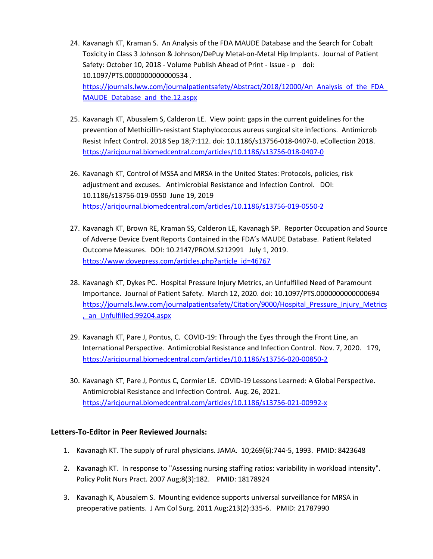- 24. Kavanagh KT, Kraman S. An Analysis of the FDA MAUDE Database and the Search for Cobalt Toxicity in Class 3 Johnson & Johnson/DePuy Metal-on-Metal Hip Implants. Journal of Patient Safety: October 10, 2018 - Volume Publish Ahead of Print - Issue - p doi: 10.1097/PTS.0000000000000534 . https://journals.lww.com/journalpatientsafety/Abstract/2018/12000/An\_Analysis\_of\_the\_FDA MAUDE Database and the.12.aspx
- 25. Kavanagh KT, Abusalem S, Calderon LE. View point: gaps in the current guidelines for the prevention of Methicillin-resistant Staphylococcus aureus surgical site infections. Antimicrob Resist Infect Control. 2018 Sep 18;7:112. doi: 10.1186/s13756-018-0407-0. eCollection 2018. <https://aricjournal.biomedcentral.com/articles/10.1186/s13756-018-0407-0>
- 26. Kavanagh KT, Control of MSSA and MRSA in the United States: Protocols, policies, risk adjustment and excuses. Antimicrobial Resistance and Infection Control. DOI: 10.1186/s13756-019-0550 June 19, 2019 <https://aricjournal.biomedcentral.com/articles/10.1186/s13756-019-0550-2>
- 27. Kavanagh KT, Brown RE, Kraman SS, Calderon LE, Kavanagh SP. Reporter Occupation and Source of Adverse Device Event Reports Contained in the FDA's MAUDE Database. Patient Related Outcome Measures. DOI: 10.2147/PROM.S212991 July 1, 2019. [https://www.dovepress.com/articles.php?article\\_id=46767](https://www.dovepress.com/articles.php?article_id=46767)
- 28. Kavanagh KT, Dykes PC. Hospital Pressure Injury Metrics, an Unfulfilled Need of Paramount Importance. Journal of Patient Safety. March 12, 2020. doi: 10.1097/PTS.0000000000000694 [https://journals.lww.com/journalpatientsafety/Citation/9000/Hospital\\_Pressure\\_Injury\\_Metrics](https://journals.lww.com/journalpatientsafety/Citation/9000/Hospital_Pressure_Injury_Metrics,_an_Unfulfilled.99204.aspx) [,\\_an\\_Unfulfilled.99204.aspx](https://journals.lww.com/journalpatientsafety/Citation/9000/Hospital_Pressure_Injury_Metrics,_an_Unfulfilled.99204.aspx)
- 29. Kavanagh KT, Pare J, Pontus, C. COVID-19: Through the Eyes through the Front Line, an International Perspective. Antimicrobial Resistance and Infection Control. Nov. 7, 2020. 179, <https://aricjournal.biomedcentral.com/articles/10.1186/s13756-020-00850-2>
- 30. Kavanagh KT, Pare J, Pontus C, Cormier LE. COVID-19 Lessons Learned: A Global Perspective. Antimicrobial Resistance and Infection Control. Aug. 26, 2021. <https://aricjournal.biomedcentral.com/articles/10.1186/s13756-021-00992-x>

# **Letters-To-Editor in Peer Reviewed Journals:**

- 1. Kavanagh KT. The supply of rural physicians. JAMA. 10;269(6):744-5, 1993. PMID: 8423648
- 2. Kavanagh KT. In response to "Assessing nursing staffing ratios: variability in workload intensity". Policy Polit Nurs Pract. 2007 Aug;8(3):182. PMID: 18178924
- 3. Kavanagh K, Abusalem S. Mounting evidence supports universal surveillance for MRSA in preoperative patients. J Am Col Surg. 2011 Aug;213(2):335-6. PMID: 21787990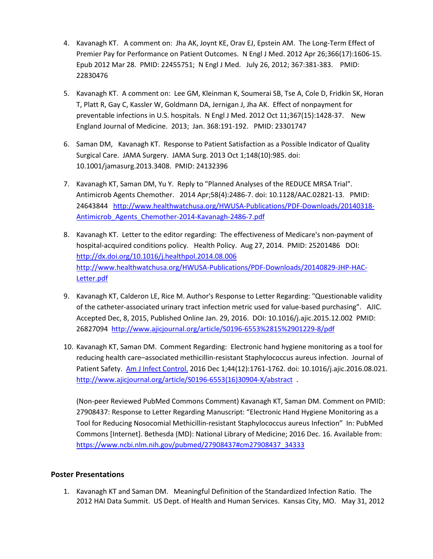- 4. Kavanagh KT. A comment on: Jha AK, Joynt KE, Orav EJ, Epstein AM. The Long-Term Effect of Premier Pay for Performance on Patient Outcomes. N Engl J Med. 2012 Apr 26;366(17):1606-15. Epub 2012 Mar 28. PMID: 22455751; N Engl J Med. July 26, 2012; 367:381-383. PMID: 22830476
- 5. Kavanagh KT. A comment on: Lee GM, Kleinman K, Soumerai SB, Tse A, Cole D, Fridkin SK, Horan T, Platt R, Gay C, Kassler W, Goldmann DA, Jernigan J, Jha AK. Effect of nonpayment for preventable infections in U.S. hospitals. N Engl J Med. 2012 Oct 11;367(15):1428-37. New England Journal of Medicine. 2013; Jan. 368:191-192. PMID: 23301747
- 6. Saman DM, Kavanagh KT. Response to Patient Satisfaction as a Possible Indicator of Quality Surgical Care. JAMA Surgery. JAMA Surg. 2013 Oct 1;148(10):985. doi: 10.1001/jamasurg.2013.3408. PMID: 24132396
- 7. Kavanagh KT, Saman DM, Yu Y. Reply to "Planned Analyses of the REDUCE MRSA Trial". Antimicrob Agents Chemother. 2014 Apr;58(4):2486-7. doi: 10.1128/AAC.02821-13. PMID: 24643844 [http://www.healthwatchusa.org/HWUSA-Publications/PDF-Downloads/20140318-](http://www.healthwatchusa.org/HWUSA-Publications/PDF-Downloads/20140318-Antimicrob_Agents_Chemother-2014-Kavanagh-2486-7.pdf) [Antimicrob\\_Agents\\_Chemother-2014-Kavanagh-2486-7.pdf](http://www.healthwatchusa.org/HWUSA-Publications/PDF-Downloads/20140318-Antimicrob_Agents_Chemother-2014-Kavanagh-2486-7.pdf)
- 8. Kavanagh KT. Letter to the editor regarding: The effectiveness of Medicare's non-payment of hospital-acquired conditions policy. Health Policy. Aug 27, 2014. PMID: 25201486 DOI: <http://dx.doi.org/10.1016/j.healthpol.2014.08.006> [http://www.healthwatchusa.org/HWUSA-Publications/PDF-Downloads/20140829-JHP-HAC-](http://www.healthwatchusa.org/HWUSA-Publications/PDF-Downloads/20140829-JHP-HAC-Letter.pdf)[Letter.pdf](http://www.healthwatchusa.org/HWUSA-Publications/PDF-Downloads/20140829-JHP-HAC-Letter.pdf)
- 9. Kavanagh KT, Calderon LE, Rice M. Author's Response to Letter Regarding: "Questionable validity of the catheter-associated urinary tract infection metric used for value-based purchasing". AJIC. Accepted Dec, 8, 2015, Published Online Jan. 29, 2016. DOI: 10.1016/j.ajic.2015.12.002 PMID: 26827094<http://www.ajicjournal.org/article/S0196-6553%2815%2901229-8/pdf>
- 10. Kavanagh KT, Saman DM. Comment Regarding: Electronic hand hygiene monitoring as a tool for reducing health care–associated methicillin-resistant Staphylococcus aureus infection. Journal of Patient Safety. [Am J Infect Control.](https://www.ncbi.nlm.nih.gov/pubmed/27908436) 2016 Dec 1;44(12):1761-1762. doi: 10.1016/j.ajic.2016.08.021. [http://www.ajicjournal.org/article/S0196-6553\(16\)30904-X/abstract](http://www.ajicjournal.org/article/S0196-6553(16)30904-X/abstract) .

(Non-peer Reviewed PubMed Commons Comment) Kavanagh KT, Saman DM. Comment on PMID: 27908437: Response to Letter Regarding Manuscript: "Electronic Hand Hygiene Monitoring as a Tool for Reducing Nosocomial Methicillin-resistant Staphylococcus aureus Infection" In: PubMed Commons [Internet]. Bethesda (MD): National Library of Medicine; 2016 Dec. 16. Available from: [https://www.ncbi.nlm.nih.gov/pubmed/27908437#cm27908437\\_34333](https://www.ncbi.nlm.nih.gov/pubmed/27908437#cm27908437_34333)

# **Poster Presentations**

1. Kavanagh KT and Saman DM. Meaningful Definition of the Standardized Infection Ratio. The 2012 HAI Data Summit. US Dept. of Health and Human Services. Kansas City, MO. May 31, 2012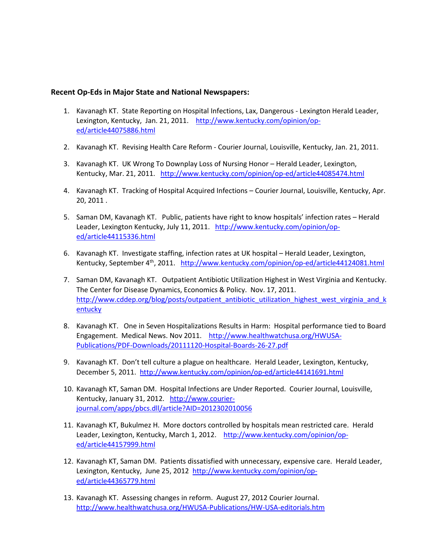### **Recent Op-Eds in Major State and National Newspapers:**

- 1. Kavanagh KT. State Reporting on Hospital Infections, Lax, Dangerous Lexington Herald Leader, Lexington, Kentucky, Jan. 21, 2011. [http://www.kentucky.com/opinion/op](http://www.kentucky.com/opinion/op-ed/article44075886.html)[ed/article44075886.html](http://www.kentucky.com/opinion/op-ed/article44075886.html)
- 2. Kavanagh KT. Revising Health Care Reform Courier Journal, Louisville, Kentucky, Jan. 21, 2011.
- 3. Kavanagh KT. UK Wrong To Downplay Loss of Nursing Honor Herald Leader, Lexington, Kentucky, Mar. 21, 2011. <http://www.kentucky.com/opinion/op-ed/article44085474.html>
- 4. Kavanagh KT. Tracking of Hospital Acquired Infections Courier Journal, Louisville, Kentucky, Apr. 20, 2011 .
- 5. Saman DM, Kavanagh KT. Public, patients have right to know hospitals' infection rates Herald Leader, Lexington Kentucky, July 11, 2011. [http://www.kentucky.com/opinion/op](http://www.kentucky.com/opinion/op-ed/article44115336.html)[ed/article44115336.html](http://www.kentucky.com/opinion/op-ed/article44115336.html)
- 6. Kavanagh KT. Investigate staffing, infection rates at UK hospital Herald Leader, Lexington, Kentucky, September 4th, 2011. <http://www.kentucky.com/opinion/op-ed/article44124081.html>
- 7. Saman DM, Kavanagh KT. Outpatient Antibiotic Utilization Highest in West Virginia and Kentucky. The Center for Disease Dynamics, Economics & Policy. Nov. 17, 2011. [http://www.cddep.org/blog/posts/outpatient\\_antibiotic\\_utilization\\_highest\\_west\\_virginia\\_and\\_k](http://www.cddep.org/blog/posts/outpatient_antibiotic_utilization_highest_west_virginia_and_kentucky) [entucky](http://www.cddep.org/blog/posts/outpatient_antibiotic_utilization_highest_west_virginia_and_kentucky)
- 8. Kavanagh KT. One in Seven Hospitalizations Results in Harm: Hospital performance tied to Board Engagement. Medical News. Nov 2011. [http://www.healthwatchusa.org/HWUSA-](http://www.healthwatchusa.org/HWUSA-Publications/PDF-Downloads/20111120-Hospital-Boards-26-27.pdf)[Publications/PDF-Downloads/20111120-Hospital-Boards-26-27.pdf](http://www.healthwatchusa.org/HWUSA-Publications/PDF-Downloads/20111120-Hospital-Boards-26-27.pdf)
- 9. Kavanagh KT. Don't tell culture a plague on healthcare. Herald Leader, Lexington, Kentucky, December 5, 2011.<http://www.kentucky.com/opinion/op-ed/article44141691.html>
- 10. Kavanagh KT, Saman DM. Hospital Infections are Under Reported. Courier Journal, Louisville, Kentucky, January 31, 2012. [http://www.courier](http://www.courier-journal.com/apps/pbcs.dll/article?AID=2012302010056)[journal.com/apps/pbcs.dll/article?AID=2012302010056](http://www.courier-journal.com/apps/pbcs.dll/article?AID=2012302010056)
- 11. Kavanagh KT, Bukulmez H. More doctors controlled by hospitals mean restricted care. Herald Leader, Lexington, Kentucky, March 1, 2012. [http://www.kentucky.com/opinion/op](http://www.kentucky.com/opinion/op-ed/article44157999.html)[ed/article44157999.html](http://www.kentucky.com/opinion/op-ed/article44157999.html)
- 12. Kavanagh KT, Saman DM. Patients dissatisfied with unnecessary, expensive care. Herald Leader, Lexington, Kentucky, June 25, 2012 [http://www.kentucky.com/opinion/op](http://www.kentucky.com/opinion/op-ed/article44365779.html)[ed/article44365779.html](http://www.kentucky.com/opinion/op-ed/article44365779.html)
- 13. Kavanagh KT. Assessing changes in reform. August 27, 2012 Courier Journal. <http://www.healthwatchusa.org/HWUSA-Publications/HW-USA-editorials.htm>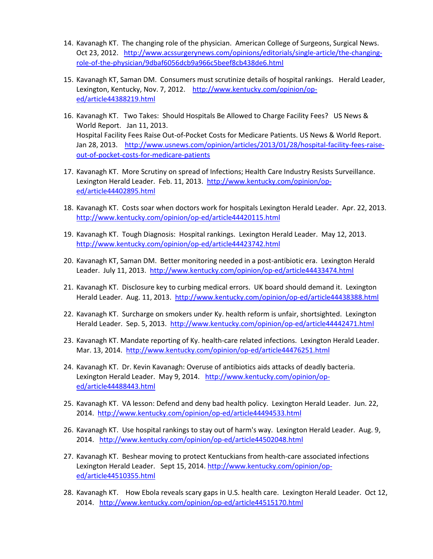- 14. Kavanagh KT. The changing role of the physician. American College of Surgeons, Surgical News. Oct 23, 2012. [http://www.acssurgerynews.com/opinions/editorials/single-article/the-changing](http://www.acssurgerynews.com/opinions/editorials/single-article/the-changing-role-of-the-physician/9dbaf6056dcb9a966c5beef8cb438de6.html)[role-of-the-physician/9dbaf6056dcb9a966c5beef8cb438de6.html](http://www.acssurgerynews.com/opinions/editorials/single-article/the-changing-role-of-the-physician/9dbaf6056dcb9a966c5beef8cb438de6.html)
- 15. Kavanagh KT, Saman DM. Consumers must scrutinize details of hospital rankings. Herald Leader, Lexington, Kentucky, Nov. 7, 2012. [http://www.kentucky.com/opinion/op](http://www.kentucky.com/opinion/op-ed/article44388219.html)[ed/article44388219.html](http://www.kentucky.com/opinion/op-ed/article44388219.html)
- 16. Kavanagh KT. Two Takes: Should Hospitals Be Allowed to Charge Facility Fees? US News & World Report. Jan 11, 2013. Hospital Facility Fees Raise Out-of-Pocket Costs for Medicare Patients. US News & World Report. Jan 28, 2013. [http://www.usnews.com/opinion/articles/2013/01/28/hospital-facility-fees-raise](http://www.usnews.com/opinion/articles/2013/01/28/hospital-facility-fees-raise-out-of-pocket-costs-for-medicare-patients)[out-of-pocket-costs-for-medicare-patients](http://www.usnews.com/opinion/articles/2013/01/28/hospital-facility-fees-raise-out-of-pocket-costs-for-medicare-patients)
- 17. Kavanagh KT. More Scrutiny on spread of Infections; Health Care Industry Resists Surveillance. Lexington Herald Leader. Feb. 11, 2013. [http://www.kentucky.com/opinion/op](http://www.kentucky.com/opinion/op-ed/article44402895.html)[ed/article44402895.html](http://www.kentucky.com/opinion/op-ed/article44402895.html)
- 18. Kavanagh KT. Costs soar when doctors work for hospitals Lexington Herald Leader. Apr. 22, 2013. <http://www.kentucky.com/opinion/op-ed/article44420115.html>
- 19. Kavanagh KT. Tough Diagnosis: Hospital rankings. Lexington Herald Leader. May 12, 2013. <http://www.kentucky.com/opinion/op-ed/article44423742.html>
- 20. Kavanagh KT, Saman DM. Better monitoring needed in a post-antibiotic era. Lexington Herald Leader. July 11, 2013. <http://www.kentucky.com/opinion/op-ed/article44433474.html>
- 21. Kavanagh KT. Disclosure key to curbing medical errors. UK board should demand it. Lexington Herald Leader. Aug. 11, 2013. http://www.kentucky.com/opinion/op-ed/article44438388.html
- 22. Kavanagh KT. Surcharge on smokers under Ky. health reform is unfair, shortsighted. Lexington Herald Leader. Sep. 5, 2013. <http://www.kentucky.com/opinion/op-ed/article44442471.html>
- 23. Kavanagh KT. Mandate reporting of Ky. health-care related infections. Lexington Herald Leader. Mar. 13, 2014. <http://www.kentucky.com/opinion/op-ed/article44476251.html>
- 24. Kavanagh KT. Dr. Kevin Kavanagh: Overuse of antibiotics aids attacks of deadly bacteria. Lexington Herald Leader. May 9, 2014. [http://www.kentucky.com/opinion/op](http://www.kentucky.com/opinion/op-ed/article44488443.html)[ed/article44488443.html](http://www.kentucky.com/opinion/op-ed/article44488443.html)
- 25. Kavanagh KT. VA lesson: Defend and deny bad health policy. Lexington Herald Leader. Jun. 22, 2014. <http://www.kentucky.com/opinion/op-ed/article44494533.html>
- 26. Kavanagh KT. Use hospital rankings to stay out of harm's way. Lexington Herald Leader. Aug. 9, 2014. <http://www.kentucky.com/opinion/op-ed/article44502048.html>
- 27. Kavanagh KT. Beshear moving to protect Kentuckians from health-care associated infections Lexington Herald Leader. Sept 15, 2014. [http://www.kentucky.com/opinion/op](http://www.kentucky.com/opinion/op-ed/article44510355.html)[ed/article44510355.html](http://www.kentucky.com/opinion/op-ed/article44510355.html)
- 28. Kavanagh KT. How Ebola reveals scary gaps in U.S. health care. Lexington Herald Leader. Oct 12, 2014. <http://www.kentucky.com/opinion/op-ed/article44515170.html>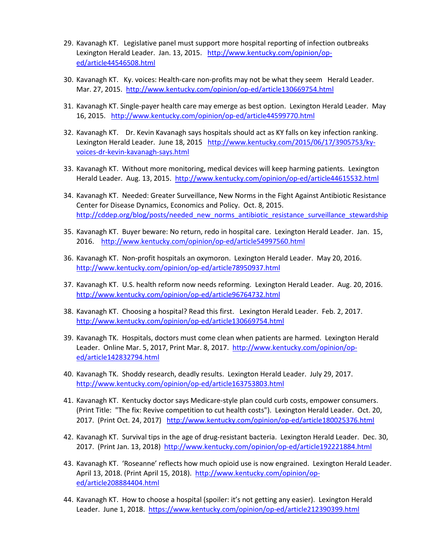- 29. Kavanagh KT. Legislative panel must support more hospital reporting of infection outbreaks Lexington Herald Leader. Jan. 13, 2015. [http://www.kentucky.com/opinion/op](http://www.kentucky.com/opinion/op-ed/article44546508.html)[ed/article44546508.html](http://www.kentucky.com/opinion/op-ed/article44546508.html)
- 30. Kavanagh KT. Ky. voices: Health-care non-profits may not be what they seem Herald Leader. Mar. 27, 2015. <http://www.kentucky.com/opinion/op-ed/article130669754.html>
- 31. Kavanagh KT. Single-payer health care may emerge as best option. Lexington Herald Leader. May 16, 2015. <http://www.kentucky.com/opinion/op-ed/article44599770.html>
- 32. Kavanagh KT. Dr. Kevin Kavanagh says hospitals should act as KY falls on key infection ranking. Lexington Herald Leader. June 18, 2015 [http://www.kentucky.com/2015/06/17/3905753/ky](http://www.kentucky.com/2015/06/17/3905753/ky-voices-dr-kevin-kavanagh-says.html)[voices-dr-kevin-kavanagh-says.html](http://www.kentucky.com/2015/06/17/3905753/ky-voices-dr-kevin-kavanagh-says.html)
- 33. Kavanagh KT. Without more monitoring, medical devices will keep harming patients. Lexington Herald Leader. Aug. 13, 2015.<http://www.kentucky.com/opinion/op-ed/article44615532.html>
- 34. Kavanagh KT. Needed: Greater Surveillance, New Norms in the Fight Against Antibiotic Resistance Center for Disease Dynamics, Economics and Policy. Oct. 8, 2015. http://cddep.org/blog/posts/needed\_new\_norms\_antibiotic\_resistance\_surveillance\_stewardship
- 35. Kavanagh KT. Buyer beware: No return, redo in hospital care. Lexington Herald Leader. Jan. 15, 2016. <http://www.kentucky.com/opinion/op-ed/article54997560.html>
- 36. Kavanagh KT. Non-profit hospitals an oxymoron. Lexington Herald Leader. May 20, 2016. <http://www.kentucky.com/opinion/op-ed/article78950937.html>
- 37. Kavanagh KT. U.S. health reform now needs reforming. Lexington Herald Leader. Aug. 20, 2016. <http://www.kentucky.com/opinion/op-ed/article96764732.html>
- 38. Kavanagh KT. Choosing a hospital? Read this first. Lexington Herald Leader. Feb. 2, 2017. <http://www.kentucky.com/opinion/op-ed/article130669754.html>
- 39. Kavanagh TK. Hospitals, doctors must come clean when patients are harmed. Lexington Herald Leader. Online Mar. 5, 2017, Print Mar. 8, 2017. [http://www.kentucky.com/opinion/op](http://www.kentucky.com/opinion/op-ed/article142832794.html)[ed/article142832794.html](http://www.kentucky.com/opinion/op-ed/article142832794.html)
- 40. Kavanagh TK. Shoddy research, deadly results. Lexington Herald Leader. July 29, 2017. <http://www.kentucky.com/opinion/op-ed/article163753803.html>
- 41. Kavanagh KT. Kentucky doctor says Medicare-style plan could curb costs, empower consumers. (Print Title: "The fix: Revive competition to cut health costs"). Lexington Herald Leader. Oct. 20, 2017. (Print Oct. 24, 2017) <http://www.kentucky.com/opinion/op-ed/article180025376.html>
- 42. Kavanagh KT. Survival tips in the age of drug-resistant bacteria. Lexington Herald Leader. Dec. 30, 2017. (Print Jan. 13, 2018) <http://www.kentucky.com/opinion/op-ed/article192221884.html>
- 43. Kavanagh KT. 'Roseanne' reflects how much opioid use is now engrained. Lexington Herald Leader. April 13, 2018. (Print April 15, 2018). [http://www.kentucky.com/opinion/op](http://www.kentucky.com/opinion/op-ed/article208884404.html)[ed/article208884404.html](http://www.kentucky.com/opinion/op-ed/article208884404.html)
- 44. Kavanagh KT. How to choose a hospital (spoiler: it's not getting any easier). Lexington Herald Leader. June 1, 2018. <https://www.kentucky.com/opinion/op-ed/article212390399.html>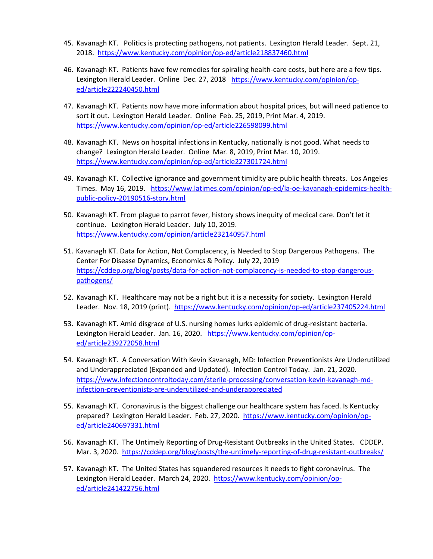- 45. Kavanagh KT. Politics is protecting pathogens, not patients. Lexington Herald Leader. Sept. 21, 2018. <https://www.kentucky.com/opinion/op-ed/article218837460.html>
- 46. Kavanagh KT. Patients have few remedies for spiraling health-care costs, but here are a few tips. Lexington Herald Leader. Online Dec. 27, 2018 [https://www.kentucky.com/opinion/op](https://www.kentucky.com/opinion/op-ed/article222240450.html)[ed/article222240450.html](https://www.kentucky.com/opinion/op-ed/article222240450.html)
- 47. Kavanagh KT. Patients now have more information about hospital prices, but will need patience to sort it out. Lexington Herald Leader. Online Feb. 25, 2019, Print Mar. 4, 2019. <https://www.kentucky.com/opinion/op-ed/article226598099.html>
- 48. Kavanagh KT. News on hospital infections in Kentucky, nationally is not good. What needs to change? Lexington Herald Leader. Online Mar. 8, 2019, Print Mar. 10, 2019. <https://www.kentucky.com/opinion/op-ed/article227301724.html>
- 49. Kavanagh KT. Collective ignorance and government timidity are public health threats. Los Angeles Times. May 16, 2019. [https://www.latimes.com/opinion/op-ed/la-oe-kavanagh-epidemics-health](https://www.latimes.com/opinion/op-ed/la-oe-kavanagh-epidemics-health-public-policy-20190516-story.html)[public-policy-20190516-story.html](https://www.latimes.com/opinion/op-ed/la-oe-kavanagh-epidemics-health-public-policy-20190516-story.html)
- 50. Kavanagh KT. From plague to parrot fever, history shows inequity of medical care. Don't let it continue. Lexington Herald Leader. July 10, 2019. <https://www.kentucky.com/opinion/article232140957.html>
- 51. Kavanagh KT. Data for Action, Not Complacency, is Needed to Stop Dangerous Pathogens. The Center For Disease Dynamics, Economics & Policy. July 22, 2019 [https://cddep.org/blog/posts/data-for-action-not-complacency-is-needed-to-stop-dangerous](https://cddep.org/blog/posts/data-for-action-not-complacency-is-needed-to-stop-dangerous-pathogens/)[pathogens/](https://cddep.org/blog/posts/data-for-action-not-complacency-is-needed-to-stop-dangerous-pathogens/)
- 52. Kavanagh KT. Healthcare may not be a right but it is a necessity for society. Lexington Herald Leader. Nov. 18, 2019 (print).<https://www.kentucky.com/opinion/op-ed/article237405224.html>
- 53. Kavanagh KT. Amid disgrace of U.S. nursing homes lurks epidemic of drug-resistant bacteria. Lexington Herald Leader. Jan. 16, 2020. [https://www.kentucky.com/opinion/op](https://www.kentucky.com/opinion/op-ed/article239272058.html)[ed/article239272058.html](https://www.kentucky.com/opinion/op-ed/article239272058.html)
- 54. Kavanagh KT. A Conversation With Kevin Kavanagh, MD: Infection Preventionists Are Underutilized and Underappreciated (Expanded and Updated). Infection Control Today. Jan. 21, 2020. [https://www.infectioncontroltoday.com/sterile-processing/conversation-kevin-kavanagh-md](https://www.infectioncontroltoday.com/sterile-processing/conversation-kevin-kavanagh-md-infection-preventionists-are-underutilized-and-underappreciated)[infection-preventionists-are-underutilized-and-underappreciated](https://www.infectioncontroltoday.com/sterile-processing/conversation-kevin-kavanagh-md-infection-preventionists-are-underutilized-and-underappreciated)
- 55. Kavanagh KT. Coronavirus is the biggest challenge our healthcare system has faced. Is Kentucky prepared? Lexington Herald Leader. Feb. 27, 2020. [https://www.kentucky.com/opinion/op](https://www.kentucky.com/opinion/op-ed/article240697331.html)[ed/article240697331.html](https://www.kentucky.com/opinion/op-ed/article240697331.html)
- 56. Kavanagh KT. The Untimely Reporting of Drug-Resistant Outbreaks in the United States. CDDEP. Mar. 3, 2020.<https://cddep.org/blog/posts/the-untimely-reporting-of-drug-resistant-outbreaks/>
- 57. Kavanagh KT. The United States has squandered resources it needs to fight coronavirus. The Lexington Herald Leader. March 24, 2020. [https://www.kentucky.com/opinion/op](https://www.kentucky.com/opinion/op-ed/article241422756.html)[ed/article241422756.html](https://www.kentucky.com/opinion/op-ed/article241422756.html)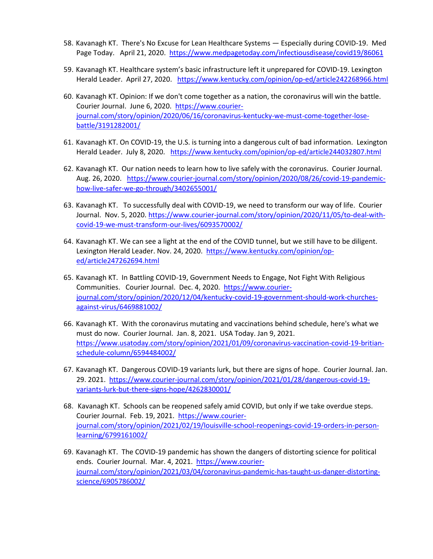- 58. Kavanagh KT. There's No Excuse for Lean Healthcare Systems Especially during COVID-19. Med Page Today. April 21, 2020. https://www.medpagetoday.com/infectiousdisease/covid19/86061
- 59. Kavanagh KT. Healthcare system's basic infrastructure left it unprepared for COVID-19. Lexington Herald Leader. April 27, 2020. <https://www.kentucky.com/opinion/op-ed/article242268966.html>
- 60. Kavanagh KT. Opinion: If we don't come together as a nation, the coronavirus will win the battle. Courier Journal. June 6, 2020. [https://www.courier](https://www.courier-journal.com/story/opinion/2020/06/16/coronavirus-kentucky-we-must-come-together-lose-battle/3191282001/)[journal.com/story/opinion/2020/06/16/coronavirus-kentucky-we-must-come-together-lose](https://www.courier-journal.com/story/opinion/2020/06/16/coronavirus-kentucky-we-must-come-together-lose-battle/3191282001/)[battle/3191282001/](https://www.courier-journal.com/story/opinion/2020/06/16/coronavirus-kentucky-we-must-come-together-lose-battle/3191282001/)
- 61. Kavanagh KT. On COVID-19, the U.S. is turning into a dangerous cult of bad information. Lexington Herald Leader. July 8, 2020. <https://www.kentucky.com/opinion/op-ed/article244032807.html>
- 62. Kavanagh KT. Our nation needs to learn how to live safely with the coronavirus. Courier Journal. Aug. 26, 2020. [https://www.courier-journal.com/story/opinion/2020/08/26/covid-19-pandemic](https://www.courier-journal.com/story/opinion/2020/08/26/covid-19-pandemic-how-live-safer-we-go-through/3402655001/)[how-live-safer-we-go-through/3402655001/](https://www.courier-journal.com/story/opinion/2020/08/26/covid-19-pandemic-how-live-safer-we-go-through/3402655001/)
- 63. Kavanagh KT. To successfully deal with COVID-19, we need to transform our way of life. Courier Journal. Nov. 5, 2020. [https://www.courier-journal.com/story/opinion/2020/11/05/to-deal-with](https://www.courier-journal.com/story/opinion/2020/11/05/to-deal-with-covid-19-we-must-transform-our-lives/6093570002/)[covid-19-we-must-transform-our-lives/6093570002/](https://www.courier-journal.com/story/opinion/2020/11/05/to-deal-with-covid-19-we-must-transform-our-lives/6093570002/)
- 64. Kavanagh KT. We can see a light at the end of the COVID tunnel, but we still have to be diligent. Lexington Herald Leader. Nov. 24, 2020. [https://www.kentucky.com/opinion/op](https://www.kentucky.com/opinion/op-ed/article247262694.html)[ed/article247262694.html](https://www.kentucky.com/opinion/op-ed/article247262694.html)
- 65. Kavanagh KT. In Battling COVID-19, Government Needs to Engage, Not Fight With Religious Communities. Courier Journal. Dec. 4, 2020. [https://www.courier](https://www.courier-journal.com/story/opinion/2020/12/04/kentucky-covid-19-government-should-work-churches-against-virus/6469881002/)[journal.com/story/opinion/2020/12/04/kentucky-covid-19-government-should-work-churches](https://www.courier-journal.com/story/opinion/2020/12/04/kentucky-covid-19-government-should-work-churches-against-virus/6469881002/)[against-virus/6469881002/](https://www.courier-journal.com/story/opinion/2020/12/04/kentucky-covid-19-government-should-work-churches-against-virus/6469881002/)
- 66. Kavanagh KT. With the coronavirus mutating and vaccinations behind schedule, here's what we must do now. Courier Journal. Jan. 8, 2021. USA Today. Jan 9, 2021. [https://www.usatoday.com/story/opinion/2021/01/09/coronavirus-vaccination-covid-19-britian](https://www.usatoday.com/story/opinion/2021/01/09/coronavirus-vaccination-covid-19-britian-schedule-column/6594484002/)[schedule-column/6594484002/](https://www.usatoday.com/story/opinion/2021/01/09/coronavirus-vaccination-covid-19-britian-schedule-column/6594484002/)
- 67. Kavanagh KT. Dangerous COVID-19 variants lurk, but there are signs of hope. Courier Journal. Jan. 29. 2021. [https://www.courier-journal.com/story/opinion/2021/01/28/dangerous-covid-19](https://www.courier-journal.com/story/opinion/2021/01/28/dangerous-covid-19-variants-lurk-but-there-signs-hope/4262830001/) [variants-lurk-but-there-signs-hope/4262830001/](https://www.courier-journal.com/story/opinion/2021/01/28/dangerous-covid-19-variants-lurk-but-there-signs-hope/4262830001/)
- 68. Kavanagh KT. Schools can be reopened safely amid COVID, but only if we take overdue steps. Courier Journal. Feb. 19, 2021. [https://www.courier](https://www.courier-journal.com/story/opinion/2021/02/19/louisville-school-reopenings-covid-19-orders-in-person-learning/6799161002/)[journal.com/story/opinion/2021/02/19/louisville-school-reopenings-covid-19-orders-in-person](https://www.courier-journal.com/story/opinion/2021/02/19/louisville-school-reopenings-covid-19-orders-in-person-learning/6799161002/)[learning/6799161002/](https://www.courier-journal.com/story/opinion/2021/02/19/louisville-school-reopenings-covid-19-orders-in-person-learning/6799161002/)
- 69. Kavanagh KT. The COVID-19 pandemic has shown the dangers of distorting science for political ends. Courier Journal. Mar. 4, 2021. [https://www.courier](https://www.courier-journal.com/story/opinion/2021/03/04/coronavirus-pandemic-has-taught-us-danger-distorting-science/6905786002/)[journal.com/story/opinion/2021/03/04/coronavirus-pandemic-has-taught-us-danger-distorting](https://www.courier-journal.com/story/opinion/2021/03/04/coronavirus-pandemic-has-taught-us-danger-distorting-science/6905786002/)[science/6905786002/](https://www.courier-journal.com/story/opinion/2021/03/04/coronavirus-pandemic-has-taught-us-danger-distorting-science/6905786002/)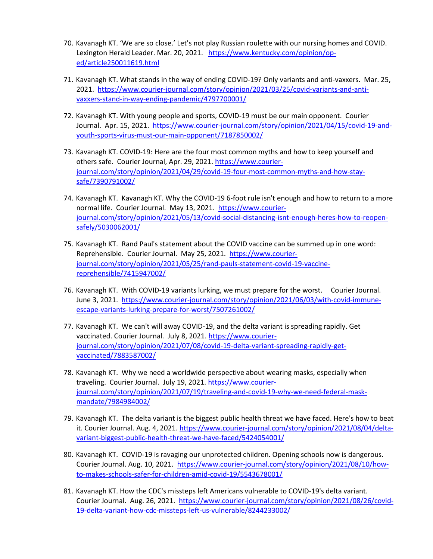- 70. Kavanagh KT. 'We are so close.' Let's not play Russian roulette with our nursing homes and COVID. Lexington Herald Leader. Mar. 20, 2021. [https://www.kentucky.com/opinion/op](https://www.kentucky.com/opinion/op-ed/article250011619.html)[ed/article250011619.html](https://www.kentucky.com/opinion/op-ed/article250011619.html)
- 71. Kavanagh KT. What stands in the way of ending COVID-19? Only variants and anti-vaxxers. Mar. 25, 2021. [https://www.courier-journal.com/story/opinion/2021/03/25/covid-variants-and-anti](https://www.courier-journal.com/story/opinion/2021/03/25/covid-variants-and-anti-vaxxers-stand-in-way-ending-pandemic/4797700001/)[vaxxers-stand-in-way-ending-pandemic/4797700001/](https://www.courier-journal.com/story/opinion/2021/03/25/covid-variants-and-anti-vaxxers-stand-in-way-ending-pandemic/4797700001/)
- 72. Kavanagh KT. With young people and sports, COVID-19 must be our main opponent. Courier Journal. Apr. 15, 2021. [https://www.courier-journal.com/story/opinion/2021/04/15/covid-19-and](https://www.courier-journal.com/story/opinion/2021/04/15/covid-19-and-youth-sports-virus-must-our-main-opponent/7187850002/)[youth-sports-virus-must-our-main-opponent/7187850002/](https://www.courier-journal.com/story/opinion/2021/04/15/covid-19-and-youth-sports-virus-must-our-main-opponent/7187850002/)
- 73. Kavanagh KT. COVID-19: Here are the four most common myths and how to keep yourself and others safe. Courier Journal, Apr. 29, 2021. [https://www.courier](https://www.courier-journal.com/story/opinion/2021/04/29/covid-19-four-most-common-myths-and-how-stay-safe/7390791002/)[journal.com/story/opinion/2021/04/29/covid-19-four-most-common-myths-and-how-stay](https://www.courier-journal.com/story/opinion/2021/04/29/covid-19-four-most-common-myths-and-how-stay-safe/7390791002/)[safe/7390791002/](https://www.courier-journal.com/story/opinion/2021/04/29/covid-19-four-most-common-myths-and-how-stay-safe/7390791002/)
- 74. Kavanagh KT. Kavanagh KT. Why the COVID-19 6-foot rule isn't enough and how to return to a more normal life. Courier Journal. May 13, 2021. [https://www.courier](https://www.courier-journal.com/story/opinion/2021/05/13/covid-social-distancing-isnt-enough-heres-how-to-reopen-safely/5030062001/)[journal.com/story/opinion/2021/05/13/covid-social-distancing-isnt-enough-heres-how-to-reopen](https://www.courier-journal.com/story/opinion/2021/05/13/covid-social-distancing-isnt-enough-heres-how-to-reopen-safely/5030062001/)[safely/5030062001/](https://www.courier-journal.com/story/opinion/2021/05/13/covid-social-distancing-isnt-enough-heres-how-to-reopen-safely/5030062001/)
- 75. Kavanagh KT. Rand Paul's statement about the COVID vaccine can be summed up in one word: Reprehensible. Courier Journal. May 25, 2021. [https://www.courier](https://www.courier-journal.com/story/opinion/2021/05/25/rand-pauls-statement-covid-19-vaccine-reprehensible/7415947002/)[journal.com/story/opinion/2021/05/25/rand-pauls-statement-covid-19-vaccine](https://www.courier-journal.com/story/opinion/2021/05/25/rand-pauls-statement-covid-19-vaccine-reprehensible/7415947002/)[reprehensible/7415947002/](https://www.courier-journal.com/story/opinion/2021/05/25/rand-pauls-statement-covid-19-vaccine-reprehensible/7415947002/)
- 76. Kavanagh KT. With COVID-19 variants lurking, we must prepare for the worst. Courier Journal. June 3, 2021. [https://www.courier-journal.com/story/opinion/2021/06/03/with-covid-immune](https://www.courier-journal.com/story/opinion/2021/06/03/with-covid-immune-escape-variants-lurking-prepare-for-worst/7507261002/)[escape-variants-lurking-prepare-for-worst/7507261002/](https://www.courier-journal.com/story/opinion/2021/06/03/with-covid-immune-escape-variants-lurking-prepare-for-worst/7507261002/)
- 77. Kavanagh KT. We can't will away COVID-19, and the delta variant is spreading rapidly. Get vaccinated. Courier Journal. July 8, 2021. [https://www.courier](https://www.courier-journal.com/story/opinion/2021/07/08/covid-19-delta-variant-spreading-rapidly-get-vaccinated/7883587002/)[journal.com/story/opinion/2021/07/08/covid-19-delta-variant-spreading-rapidly-get](https://www.courier-journal.com/story/opinion/2021/07/08/covid-19-delta-variant-spreading-rapidly-get-vaccinated/7883587002/)[vaccinated/7883587002/](https://www.courier-journal.com/story/opinion/2021/07/08/covid-19-delta-variant-spreading-rapidly-get-vaccinated/7883587002/)
- 78. Kavanagh KT. Why we need a worldwide perspective about wearing masks, especially when traveling. Courier Journal. July 19, 2021. [https://www.courier](https://www.courier-journal.com/story/opinion/2021/07/19/traveling-and-covid-19-why-we-need-federal-mask-mandate/7984984002/)[journal.com/story/opinion/2021/07/19/traveling-and-covid-19-why-we-need-federal-mask](https://www.courier-journal.com/story/opinion/2021/07/19/traveling-and-covid-19-why-we-need-federal-mask-mandate/7984984002/)[mandate/7984984002/](https://www.courier-journal.com/story/opinion/2021/07/19/traveling-and-covid-19-why-we-need-federal-mask-mandate/7984984002/)
- 79. Kavanagh KT. The delta variant is the biggest public health threat we have faced. Here's how to beat it. Courier Journal. Aug. 4, 2021. [https://www.courier-journal.com/story/opinion/2021/08/04/delta](https://www.courier-journal.com/story/opinion/2021/08/04/delta-variant-biggest-public-health-threat-we-have-faced/5424054001/)[variant-biggest-public-health-threat-we-have-faced/5424054001/](https://www.courier-journal.com/story/opinion/2021/08/04/delta-variant-biggest-public-health-threat-we-have-faced/5424054001/)
- 80. Kavanagh KT. COVID-19 is ravaging our unprotected children. Opening schools now is dangerous. Courier Journal. Aug. 10, 2021. [https://www.courier-journal.com/story/opinion/2021/08/10/how](https://www.courier-journal.com/story/opinion/2021/08/10/how-to-makes-schools-safer-for-children-amid-covid-19/5543678001/)[to-makes-schools-safer-for-children-amid-covid-19/5543678001/](https://www.courier-journal.com/story/opinion/2021/08/10/how-to-makes-schools-safer-for-children-amid-covid-19/5543678001/)
- 81. Kavanagh KT. How the CDC's missteps left Americans vulnerable to COVID-19's delta variant. Courier Journal. Aug. 26, 2021. [https://www.courier-journal.com/story/opinion/2021/08/26/covid-](https://www.courier-journal.com/story/opinion/2021/08/26/covid-19-delta-variant-how-cdc-missteps-left-us-vulnerable/8244233002/)[19-delta-variant-how-cdc-missteps-left-us-vulnerable/8244233002/](https://www.courier-journal.com/story/opinion/2021/08/26/covid-19-delta-variant-how-cdc-missteps-left-us-vulnerable/8244233002/)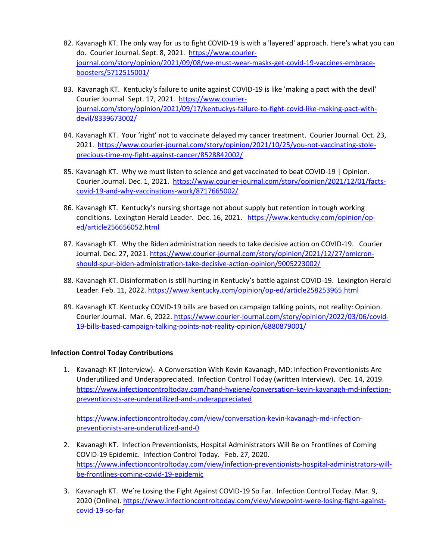- 82. Kavanagh KT. The only way for us to fight COVID-19 is with a 'layered' approach. Here's what you can do. Courier Journal. Sept. 8, 2021. [https://www.courier](https://www.courier-journal.com/story/opinion/2021/09/08/we-must-wear-masks-get-covid-19-vaccines-embrace-boosters/5712515001/)[journal.com/story/opinion/2021/09/08/we-must-wear-masks-get-covid-19-vaccines-embrace](https://www.courier-journal.com/story/opinion/2021/09/08/we-must-wear-masks-get-covid-19-vaccines-embrace-boosters/5712515001/)[boosters/5712515001/](https://www.courier-journal.com/story/opinion/2021/09/08/we-must-wear-masks-get-covid-19-vaccines-embrace-boosters/5712515001/)
- 83. Kavanagh KT. Kentucky's failure to unite against COVID-19 is like 'making a pact with the devil' Courier Journal Sept. 17, 2021. [https://www.courier](https://www.courier-journal.com/story/opinion/2021/09/17/kentuckys-failure-to-fight-covid-like-making-pact-with-devil/8339673002/)[journal.com/story/opinion/2021/09/17/kentuckys-failure-to-fight-covid-like-making-pact-with](https://www.courier-journal.com/story/opinion/2021/09/17/kentuckys-failure-to-fight-covid-like-making-pact-with-devil/8339673002/)[devil/8339673002/](https://www.courier-journal.com/story/opinion/2021/09/17/kentuckys-failure-to-fight-covid-like-making-pact-with-devil/8339673002/)
- 84. Kavanagh KT. Your 'right' not to vaccinate delayed my cancer treatment. Courier Journal. Oct. 23, 2021. [https://www.courier-journal.com/story/opinion/2021/10/25/you-not-vaccinating-stole](https://www.courier-journal.com/story/opinion/2021/10/25/you-not-vaccinating-stole-precious-time-my-fight-against-cancer/8528842002/)[precious-time-my-fight-against-cancer/8528842002/](https://www.courier-journal.com/story/opinion/2021/10/25/you-not-vaccinating-stole-precious-time-my-fight-against-cancer/8528842002/)
- 85. Kavanagh KT. Why we must listen to science and get vaccinated to beat COVID-19 | Opinion. Courier Journal. Dec. 1, 2021. [https://www.courier-journal.com/story/opinion/2021/12/01/facts](https://www.courier-journal.com/story/opinion/2021/12/01/facts-covid-19-and-why-vaccinations-work/8717665002/)[covid-19-and-why-vaccinations-work/8717665002/](https://www.courier-journal.com/story/opinion/2021/12/01/facts-covid-19-and-why-vaccinations-work/8717665002/)
- 86. Kavanagh KT. Kentucky's nursing shortage not about supply but retention in tough working conditions. Lexington Herald Leader. Dec. 16, 2021. [https://www.kentucky.com/opinion/op](https://www.kentucky.com/opinion/op-ed/article256656052.html)[ed/article256656052.html](https://www.kentucky.com/opinion/op-ed/article256656052.html)
- 87. Kavanagh KT. Why the Biden administration needs to take decisive action on COVID-19. Courier Journal. Dec. 27, 2021. [https://www.courier-journal.com/story/opinion/2021/12/27/omicron](https://www.courier-journal.com/story/opinion/2021/12/27/omicron-should-spur-biden-administration-take-decisive-action-opinion/9005223002/)[should-spur-biden-administration-take-decisive-action-opinion/9005223002/](https://www.courier-journal.com/story/opinion/2021/12/27/omicron-should-spur-biden-administration-take-decisive-action-opinion/9005223002/)
- 88. Kavanagh KT. Disinformation is still hurting in Kentucky's battle against COVID-19. Lexington Herald Leader. Feb. 11, 2022.<https://www.kentucky.com/opinion/op-ed/article258253965.html>
- 89. Kavanagh KT. Kentucky COVID-19 bills are based on campaign talking points, not reality: Opinion. Courier Journal. Mar. 6, 2022. [https://www.courier-journal.com/story/opinion/2022/03/06/covid-](https://www.courier-journal.com/story/opinion/2022/03/06/covid-19-bills-based-campaign-talking-points-not-reality-opinion/6880879001/)[19-bills-based-campaign-talking-points-not-reality-opinion/6880879001/](https://www.courier-journal.com/story/opinion/2022/03/06/covid-19-bills-based-campaign-talking-points-not-reality-opinion/6880879001/)

### **Infection Control Today Contributions**

1. Kavanagh KT (Interview). A Conversation With Kevin Kavanagh, MD: Infection Preventionists Are Underutilized and Underappreciated. Infection Control Today (written Interview). Dec. 14, 2019. [https://www.infectioncontroltoday.com/hand-hygiene/conversation-kevin-kavanagh-md-infection](https://www.infectioncontroltoday.com/hand-hygiene/conversation-kevin-kavanagh-md-infection-preventionists-are-underutilized-and-underappreciated)[preventionists-are-underutilized-and-underappreciated](https://www.infectioncontroltoday.com/hand-hygiene/conversation-kevin-kavanagh-md-infection-preventionists-are-underutilized-and-underappreciated)

[https://www.infectioncontroltoday.com/view/conversation-kevin-kavanagh-md-infection](https://www.infectioncontroltoday.com/view/conversation-kevin-kavanagh-md-infection-preventionists-are-underutilized-and-0)[preventionists-are-underutilized-and-0](https://www.infectioncontroltoday.com/view/conversation-kevin-kavanagh-md-infection-preventionists-are-underutilized-and-0) 

- 2. Kavanagh KT. Infection Preventionists, Hospital Administrators Will Be on Frontlines of Coming COVID-19 Epidemic. Infection Control Today. Feb. 27, 2020. [https://www.infectioncontroltoday.com/view/infection-preventionists-hospital-administrators-will](https://www.infectioncontroltoday.com/view/infection-preventionists-hospital-administrators-will-be-frontlines-coming-covid-19-epidemic)[be-frontlines-coming-covid-19-epidemic](https://www.infectioncontroltoday.com/view/infection-preventionists-hospital-administrators-will-be-frontlines-coming-covid-19-epidemic)
- 3. Kavanagh KT. We're Losing the Fight Against COVID-19 So Far. Infection Control Today. Mar. 9, 2020 (Online). [https://www.infectioncontroltoday.com/view/viewpoint-were-losing-fight-against](https://www.infectioncontroltoday.com/view/viewpoint-were-losing-fight-against-covid-19-so-far)[covid-19-so-far](https://www.infectioncontroltoday.com/view/viewpoint-were-losing-fight-against-covid-19-so-far)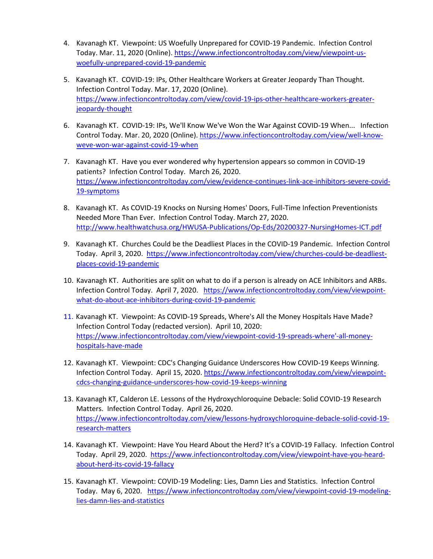- 4. Kavanagh KT. Viewpoint: US Woefully Unprepared for COVID-19 Pandemic. Infection Control Today. Mar. 11, 2020 (Online)[. https://www.infectioncontroltoday.com/view/viewpoint-us](https://www.infectioncontroltoday.com/view/viewpoint-us-woefully-unprepared-covid-19-pandemic)[woefully-unprepared-covid-19-pandemic](https://www.infectioncontroltoday.com/view/viewpoint-us-woefully-unprepared-covid-19-pandemic)
- 5. Kavanagh KT. COVID-19: IPs, Other Healthcare Workers at Greater Jeopardy Than Thought. Infection Control Today. Mar. 17, 2020 (Online). [https://www.infectioncontroltoday.com/view/covid-19-ips-other-healthcare-workers-greater](https://www.infectioncontroltoday.com/view/covid-19-ips-other-healthcare-workers-greater-jeopardy-thought)[jeopardy-thought](https://www.infectioncontroltoday.com/view/covid-19-ips-other-healthcare-workers-greater-jeopardy-thought)
- 6. Kavanagh KT. COVID-19: IPs, We'll Know We've Won the War Against COVID-19 When... Infection Control Today. Mar. 20, 2020 (Online)[. https://www.infectioncontroltoday.com/view/well-know](https://www.infectioncontroltoday.com/view/well-know-weve-won-war-against-covid-19-when)[weve-won-war-against-covid-19-when](https://www.infectioncontroltoday.com/view/well-know-weve-won-war-against-covid-19-when)
- 7. Kavanagh KT. Have you ever wondered why hypertension appears so common in COVID-19 patients? Infection Control Today. March 26, 2020. [https://www.infectioncontroltoday.com/view/evidence-continues-link-ace-inhibitors-severe-covid-](https://www.infectioncontroltoday.com/view/evidence-continues-link-ace-inhibitors-severe-covid-19-symptoms)[19-symptoms](https://www.infectioncontroltoday.com/view/evidence-continues-link-ace-inhibitors-severe-covid-19-symptoms)
- 8. Kavanagh KT. As COVID-19 Knocks on Nursing Homes' Doors, Full-Time Infection Preventionists Needed More Than Ever. Infection Control Today. March 27, 2020. <http://www.healthwatchusa.org/HWUSA-Publications/Op-Eds/20200327-NursingHomes-ICT.pdf>
- 9. Kavanagh KT. Churches Could be the Deadliest Places in the COVID-19 Pandemic. Infection Control Today. April 3, 2020. [https://www.infectioncontroltoday.com/view/churches-could-be-deadliest](https://www.infectioncontroltoday.com/view/churches-could-be-deadliest-places-covid-19-pandemic)[places-covid-19-pandemic](https://www.infectioncontroltoday.com/view/churches-could-be-deadliest-places-covid-19-pandemic)
- 10. Kavanagh KT. Authorities are split on what to do if a person is already on ACE Inhibitors and ARBs. Infection Control Today. April 7, 2020. [https://www.infectioncontroltoday.com/view/viewpoint](https://www.infectioncontroltoday.com/view/viewpoint-what-do-about-ace-inhibitors-during-covid-19-pandemic)[what-do-about-ace-inhibitors-during-covid-19-pandemic](https://www.infectioncontroltoday.com/view/viewpoint-what-do-about-ace-inhibitors-during-covid-19-pandemic)
- 11. Kavanagh KT. Viewpoint: As COVID-19 Spreads, Where's All the Money Hospitals Have Made? Infection Control Today (redacted version). April 10, 2020: [https://www.infectioncontroltoday.com/view/viewpoint-covid-19-spreads-where'-all-money](https://www.infectioncontroltoday.com/view/viewpoint-covid-19-spreads-where)[hospitals-have-made](https://www.infectioncontroltoday.com/view/viewpoint-covid-19-spreads-where)
- 12. Kavanagh KT. Viewpoint: CDC's Changing Guidance Underscores How COVID-19 Keeps Winning. Infection Control Today. April 15, 2020[. https://www.infectioncontroltoday.com/view/viewpoint](https://www.infectioncontroltoday.com/view/viewpoint-cdcs-changing-guidance-underscores-how-covid-19-keeps-winning)[cdcs-changing-guidance-underscores-how-covid-19-keeps-winning](https://www.infectioncontroltoday.com/view/viewpoint-cdcs-changing-guidance-underscores-how-covid-19-keeps-winning)
- 13. Kavanagh KT, Calderon LE. Lessons of the Hydroxychloroquine Debacle: Solid COVID-19 Research Matters. Infection Control Today. April 26, 2020. [https://www.infectioncontroltoday.com/view/lessons-hydroxychloroquine-debacle-solid-covid-19](https://www.infectioncontroltoday.com/view/lessons-hydroxychloroquine-debacle-solid-covid-19-research-matters) [research-matters](https://www.infectioncontroltoday.com/view/lessons-hydroxychloroquine-debacle-solid-covid-19-research-matters)
- 14. Kavanagh KT. Viewpoint: Have You Heard About the Herd? It's a COVID-19 Fallacy. Infection Control Today. April 29, 2020. [https://www.infectioncontroltoday.com/view/viewpoint-have-you-heard](https://www.infectioncontroltoday.com/view/viewpoint-have-you-heard-about-herd-its-covid-19-fallacy)[about-herd-its-covid-19-fallacy](https://www.infectioncontroltoday.com/view/viewpoint-have-you-heard-about-herd-its-covid-19-fallacy)
- 15. Kavanagh KT. Viewpoint: COVID-19 Modeling: Lies, Damn Lies and Statistics. Infection Control Today. May 6, 2020. [https://www.infectioncontroltoday.com/view/viewpoint-covid-19-modeling](https://www.infectioncontroltoday.com/view/viewpoint-covid-19-modeling-lies-damn-lies-and-statistics)[lies-damn-lies-and-statistics](https://www.infectioncontroltoday.com/view/viewpoint-covid-19-modeling-lies-damn-lies-and-statistics)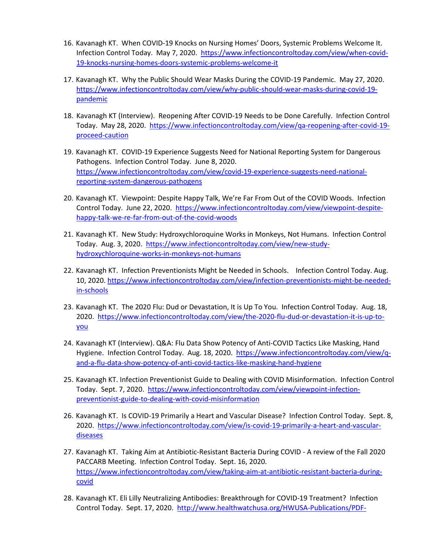- 16. Kavanagh KT. When COVID-19 Knocks on Nursing Homes' Doors, Systemic Problems Welcome It. Infection Control Today. May 7, 2020. [https://www.infectioncontroltoday.com/view/when-covid-](https://www.infectioncontroltoday.com/view/when-covid-19-knocks-nursing-homes-doors-systemic-problems-welcome-it)[19-knocks-nursing-homes-doors-systemic-problems-welcome-it](https://www.infectioncontroltoday.com/view/when-covid-19-knocks-nursing-homes-doors-systemic-problems-welcome-it)
- 17. Kavanagh KT. Why the Public Should Wear Masks During the COVID-19 Pandemic. May 27, 2020. [https://www.infectioncontroltoday.com/view/why-public-should-wear-masks-during-covid-19](https://www.infectioncontroltoday.com/view/why-public-should-wear-masks-during-covid-19-pandemic) [pandemic](https://www.infectioncontroltoday.com/view/why-public-should-wear-masks-during-covid-19-pandemic)
- 18. Kavanagh KT (Interview). Reopening After COVID-19 Needs to be Done Carefully. Infection Control Today. May 28, 2020. [https://www.infectioncontroltoday.com/view/qa-reopening-after-covid-19](https://www.infectioncontroltoday.com/view/qa-reopening-after-covid-19-proceed-caution) [proceed-caution](https://www.infectioncontroltoday.com/view/qa-reopening-after-covid-19-proceed-caution)
- 19. Kavanagh KT. COVID-19 Experience Suggests Need for National Reporting System for Dangerous Pathogens. Infection Control Today. June 8, 2020. [https://www.infectioncontroltoday.com/view/covid-19-experience-suggests-need-national](https://www.infectioncontroltoday.com/view/covid-19-experience-suggests-need-national-reporting-system-dangerous-pathogens)[reporting-system-dangerous-pathogens](https://www.infectioncontroltoday.com/view/covid-19-experience-suggests-need-national-reporting-system-dangerous-pathogens)
- 20. Kavanagh KT. Viewpoint: Despite Happy Talk, We're Far From Out of the COVID Woods. Infection Control Today. June 22, 2020. [https://www.infectioncontroltoday.com/view/viewpoint-despite](https://www.infectioncontroltoday.com/view/viewpoint-despite-happy-talk-we-re-far-from-out-of-the-covid-woods)[happy-talk-we-re-far-from-out-of-the-covid-woods](https://www.infectioncontroltoday.com/view/viewpoint-despite-happy-talk-we-re-far-from-out-of-the-covid-woods)
- 21. Kavanagh KT. New Study: Hydroxychloroquine Works in Monkeys, Not Humans. Infection Control Today. Aug. 3, 2020. [https://www.infectioncontroltoday.com/view/new-study](https://www.infectioncontroltoday.com/view/new-study-hydroxychloroquine-works-in-monkeys-not-humans)[hydroxychloroquine-works-in-monkeys-not-humans](https://www.infectioncontroltoday.com/view/new-study-hydroxychloroquine-works-in-monkeys-not-humans)
- 22. Kavanagh KT. Infection Preventionists Might be Needed in Schools. Infection Control Today. Aug. 10, 2020. [https://www.infectioncontroltoday.com/view/infection-preventionists-might-be-needed](https://www.infectioncontroltoday.com/view/infection-preventionists-might-be-needed-in-schools)[in-schools](https://www.infectioncontroltoday.com/view/infection-preventionists-might-be-needed-in-schools)
- 23. Kavanagh KT. The 2020 Flu: Dud or Devastation, It is Up To You. Infection Control Today. Aug. 18, 2020. [https://www.infectioncontroltoday.com/view/the-2020-flu-dud-or-devastation-it-is-up-to](https://www.infectioncontroltoday.com/view/the-2020-flu-dud-or-devastation-it-is-up-to-you)[you](https://www.infectioncontroltoday.com/view/the-2020-flu-dud-or-devastation-it-is-up-to-you)
- 24. Kavanagh KT (Interview). Q&A: Flu Data Show Potency of Anti-COVID Tactics Like Masking, Hand Hygiene. Infection Control Today. Aug. 18, 2020. [https://www.infectioncontroltoday.com/view/q](https://www.infectioncontroltoday.com/view/q-and-a-flu-data-show-potency-of-anti-covid-tactics-like-masking-hand-hygiene)[and-a-flu-data-show-potency-of-anti-covid-tactics-like-masking-hand-hygiene](https://www.infectioncontroltoday.com/view/q-and-a-flu-data-show-potency-of-anti-covid-tactics-like-masking-hand-hygiene)
- 25. Kavanagh KT. Infection Preventionist Guide to Dealing with COVID Misinformation. Infection Control Today. Sept. 7, 2020. [https://www.infectioncontroltoday.com/view/viewpoint-infection](https://www.infectioncontroltoday.com/view/viewpoint-infection-preventionist-guide-to-dealing-with-covid-misinformation)[preventionist-guide-to-dealing-with-covid-misinformation](https://www.infectioncontroltoday.com/view/viewpoint-infection-preventionist-guide-to-dealing-with-covid-misinformation)
- 26. Kavanagh KT. Is COVID-19 Primarily a Heart and Vascular Disease? Infection Control Today. Sept. 8, 2020. [https://www.infectioncontroltoday.com/view/is-covid-19-primarily-a-heart-and-vascular](https://www.infectioncontroltoday.com/view/is-covid-19-primarily-a-heart-and-vascular-diseases)[diseases](https://www.infectioncontroltoday.com/view/is-covid-19-primarily-a-heart-and-vascular-diseases)
- 27. Kavanagh KT. Taking Aim at Antibiotic-Resistant Bacteria During COVID A review of the Fall 2020 PACCARB Meeting. Infection Control Today. Sept. 16, 2020. [https://www.infectioncontroltoday.com/view/taking-aim-at-antibiotic-resistant-bacteria-during](https://www.infectioncontroltoday.com/view/taking-aim-at-antibiotic-resistant-bacteria-during-covid)[covid](https://www.infectioncontroltoday.com/view/taking-aim-at-antibiotic-resistant-bacteria-during-covid)
- 28. Kavanagh KT. Eli Lilly Neutralizing Antibodies: Breakthrough for COVID-19 Treatment? Infection Control Today. Sept. 17, 2020. [http://www.healthwatchusa.org/HWUSA-Publications/PDF-](http://www.healthwatchusa.org/HWUSA-Publications/PDF-Downloads/20200921-ICT-Immune-Serum.pdf)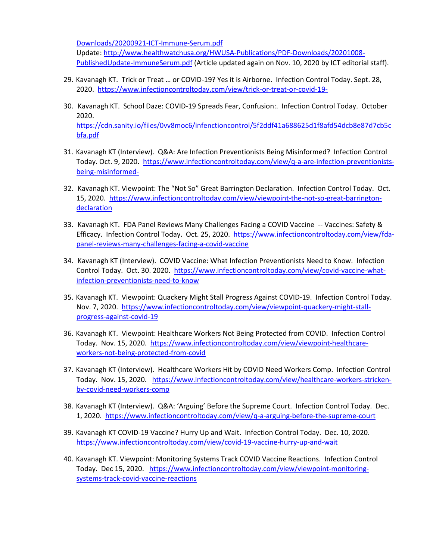[Downloads/20200921-ICT-Immune-Serum.pdf](http://www.healthwatchusa.org/HWUSA-Publications/PDF-Downloads/20200921-ICT-Immune-Serum.pdf) 

Update[: http://www.healthwatchusa.org/HWUSA-Publications/PDF-Downloads/20201008-](http://www.healthwatchusa.org/HWUSA-Publications/PDF-Downloads/20201008-PublishedUpdate-ImmuneSerum.pdf) [PublishedUpdate-ImmuneSerum.pdf](http://www.healthwatchusa.org/HWUSA-Publications/PDF-Downloads/20201008-PublishedUpdate-ImmuneSerum.pdf) (Article updated again on Nov. 10, 2020 by ICT editorial staff).

- 29. Kavanagh KT. Trick or Treat … or COVID-19? Yes it is Airborne. Infection Control Today. Sept. 28, 2020. <https://www.infectioncontroltoday.com/view/trick-or-treat-or-covid-19->
- 30. Kavanagh KT. School Daze: COVID-19 Spreads Fear, Confusion:. Infection Control Today. October 2020. [https://cdn.sanity.io/files/0vv8moc6/infenctioncontrol/5f2ddf41a688625d1f8afd54dcb8e87d7cb5c](https://cdn.sanity.io/files/0vv8moc6/infenctioncontrol/5f2ddf41a688625d1f8afd54dcb8e87d7cb5cbfa.pdf) [bfa.pdf](https://cdn.sanity.io/files/0vv8moc6/infenctioncontrol/5f2ddf41a688625d1f8afd54dcb8e87d7cb5cbfa.pdf)
- 31. Kavanagh KT (Interview). Q&A: Are Infection Preventionists Being Misinformed? Infection Control Today. Oct. 9, 2020. [https://www.infectioncontroltoday.com/view/q-a-are-infection-preventionists](https://www.infectioncontroltoday.com/view/q-a-are-infection-preventionists-being-misinformed-)[being-misinformed-](https://www.infectioncontroltoday.com/view/q-a-are-infection-preventionists-being-misinformed-)
- 32. Kavanagh KT. Viewpoint: The "Not So" Great Barrington Declaration. Infection Control Today. Oct. 15, 2020. [https://www.infectioncontroltoday.com/view/viewpoint-the-not-so-great-barrington](https://www.infectioncontroltoday.com/view/viewpoint-the-not-so-great-barrington-declaration)[declaration](https://www.infectioncontroltoday.com/view/viewpoint-the-not-so-great-barrington-declaration)
- 33. Kavanagh KT. FDA Panel Reviews Many Challenges Facing a COVID Vaccine -- Vaccines: Safety & Efficacy. Infection Control Today. Oct. 25, 2020.[https://www.infectioncontroltoday.com/view/fda](https://www.infectioncontroltoday.com/view/fda-panel-reviews-many-challenges-facing-a-covid-vaccine)[panel-reviews-many-challenges-facing-a-covid-vaccine](https://www.infectioncontroltoday.com/view/fda-panel-reviews-many-challenges-facing-a-covid-vaccine)
- 34. Kavanagh KT (Interview). COVID Vaccine: What Infection Preventionists Need to Know. Infection Control Today. Oct. 30. 2020. [https://www.infectioncontroltoday.com/view/covid-vaccine-what](https://www.infectioncontroltoday.com/view/covid-vaccine-what-infection-preventionists-need-to-know)[infection-preventionists-need-to-know](https://www.infectioncontroltoday.com/view/covid-vaccine-what-infection-preventionists-need-to-know)
- 35. Kavanagh KT. Viewpoint: Quackery Might Stall Progress Against COVID-19. Infection Control Today. Nov. 7, 2020. [https://www.infectioncontroltoday.com/view/viewpoint-quackery-might-stall](https://www.infectioncontroltoday.com/view/viewpoint-quackery-might-stall-progress-against-covid-19)[progress-against-covid-19](https://www.infectioncontroltoday.com/view/viewpoint-quackery-might-stall-progress-against-covid-19)
- 36. Kavanagh KT. Viewpoint: Healthcare Workers Not Being Protected from COVID. Infection Control Today. Nov. 15, 2020. [https://www.infectioncontroltoday.com/view/viewpoint-healthcare](https://www.infectioncontroltoday.com/view/viewpoint-healthcare-workers-not-being-protected-from-covid)[workers-not-being-protected-from-covid](https://www.infectioncontroltoday.com/view/viewpoint-healthcare-workers-not-being-protected-from-covid)
- 37. Kavanagh KT (Interview). Healthcare Workers Hit by COVID Need Workers Comp. Infection Control Today. Nov. 15, 2020. [https://www.infectioncontroltoday.com/view/healthcare-workers-stricken](https://www.infectioncontroltoday.com/view/healthcare-workers-stricken-by-covid-need-workers-comp)[by-covid-need-workers-comp](https://www.infectioncontroltoday.com/view/healthcare-workers-stricken-by-covid-need-workers-comp)
- 38. Kavanagh KT (Interview). Q&A: 'Arguing' Before the Supreme Court. Infection Control Today. Dec. 1, 2020.<https://www.infectioncontroltoday.com/view/q-a-arguing-before-the-supreme-court>
- 39. Kavanagh KT COVID-19 Vaccine? Hurry Up and Wait. Infection Control Today. Dec. 10, 2020. <https://www.infectioncontroltoday.com/view/covid-19-vaccine-hurry-up-and-wait>
- 40. Kavanagh KT. Viewpoint: Monitoring Systems Track COVID Vaccine Reactions. Infection Control Today. Dec 15, 2020. [https://www.infectioncontroltoday.com/view/viewpoint-monitoring](https://www.infectioncontroltoday.com/view/viewpoint-monitoring-systems-track-covid-vaccine-reactions)[systems-track-covid-vaccine-reactions](https://www.infectioncontroltoday.com/view/viewpoint-monitoring-systems-track-covid-vaccine-reactions)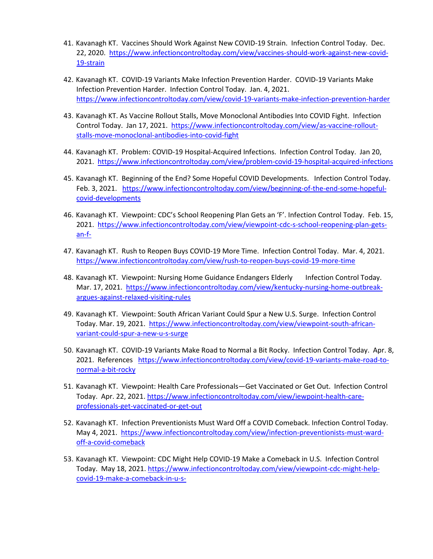- 41. Kavanagh KT. Vaccines Should Work Against New COVID-19 Strain. Infection Control Today. Dec. 22, 2020. [https://www.infectioncontroltoday.com/view/vaccines-should-work-against-new-covid-](https://www.infectioncontroltoday.com/view/vaccines-should-work-against-new-covid-19-strain)[19-strain](https://www.infectioncontroltoday.com/view/vaccines-should-work-against-new-covid-19-strain)
- 42. Kavanagh KT. COVID-19 Variants Make Infection Prevention Harder. COVID-19 Variants Make Infection Prevention Harder. Infection Control Today. Jan. 4, 2021. <https://www.infectioncontroltoday.com/view/covid-19-variants-make-infection-prevention-harder>
- 43. Kavanagh KT. As Vaccine Rollout Stalls, Move Monoclonal Antibodies Into COVID Fight. Infection Control Today. Jan 17, 2021. [https://www.infectioncontroltoday.com/view/as-vaccine-rollout](https://www.infectioncontroltoday.com/view/as-vaccine-rollout-stalls-move-monoclonal-antibodies-into-covid-fight)[stalls-move-monoclonal-antibodies-into-covid-fight](https://www.infectioncontroltoday.com/view/as-vaccine-rollout-stalls-move-monoclonal-antibodies-into-covid-fight)
- 44. Kavanagh KT. Problem: COVID-19 Hospital-Acquired Infections. Infection Control Today. Jan 20, 2021. <https://www.infectioncontroltoday.com/view/problem-covid-19-hospital-acquired-infections>
- 45. Kavanagh KT. Beginning of the End? Some Hopeful COVID Developments. Infection Control Today. Feb. 3, 2021. [https://www.infectioncontroltoday.com/view/beginning-of-the-end-some-hopeful](https://www.infectioncontroltoday.com/view/beginning-of-the-end-some-hopeful-covid-developments)[covid-developments](https://www.infectioncontroltoday.com/view/beginning-of-the-end-some-hopeful-covid-developments)
- 46. Kavanagh KT. Viewpoint: CDC's School Reopening Plan Gets an 'F'. Infection Control Today. Feb. 15, 2021. [https://www.infectioncontroltoday.com/view/viewpoint-cdc-s-school-reopening-plan-gets](https://www.infectioncontroltoday.com/view/viewpoint-cdc-s-school-reopening-plan-gets-an-f-)[an-f-](https://www.infectioncontroltoday.com/view/viewpoint-cdc-s-school-reopening-plan-gets-an-f-)
- 47. Kavanagh KT. Rush to Reopen Buys COVID-19 More Time. Infection Control Today. Mar. 4, 2021. <https://www.infectioncontroltoday.com/view/rush-to-reopen-buys-covid-19-more-time>
- 48. Kavanagh KT. Viewpoint: Nursing Home Guidance Endangers Elderly Infection Control Today. Mar. 17, 2021. [https://www.infectioncontroltoday.com/view/kentucky-nursing-home-outbreak](https://www.infectioncontroltoday.com/view/kentucky-nursing-home-outbreak-argues-against-relaxed-visiting-rules)[argues-against-relaxed-visiting-rules](https://www.infectioncontroltoday.com/view/kentucky-nursing-home-outbreak-argues-against-relaxed-visiting-rules)
- 49. Kavanagh KT. Viewpoint: South African Variant Could Spur a New U.S. Surge. Infection Control Today. Mar. 19, 2021. [https://www.infectioncontroltoday.com/view/viewpoint-south-african](https://www.infectioncontroltoday.com/view/viewpoint-south-african-variant-could-spur-a-new-u-s-surge)[variant-could-spur-a-new-u-s-surge](https://www.infectioncontroltoday.com/view/viewpoint-south-african-variant-could-spur-a-new-u-s-surge)
- 50. Kavanagh KT. COVID-19 Variants Make Road to Normal a Bit Rocky. Infection Control Today. Apr. 8, 2021. References [https://www.infectioncontroltoday.com/view/covid-19-variants-make-road-to](https://www.infectioncontroltoday.com/view/covid-19-variants-make-road-to-normal-a-bit-rocky)[normal-a-bit-rocky](https://www.infectioncontroltoday.com/view/covid-19-variants-make-road-to-normal-a-bit-rocky)
- 51. Kavanagh KT. Viewpoint: Health Care Professionals—Get Vaccinated or Get Out. Infection Control Today. Apr. 22, 2021. [https://www.infectioncontroltoday.com/view/iewpoint-health-care](https://www.infectioncontroltoday.com/view/iewpoint-health-care-professionals-get-vaccinated-or-get-out)[professionals-get-vaccinated-or-get-out](https://www.infectioncontroltoday.com/view/iewpoint-health-care-professionals-get-vaccinated-or-get-out)
- 52. Kavanagh KT. Infection Preventionists Must Ward Off a COVID Comeback. Infection Control Today. May 4, 2021. [https://www.infectioncontroltoday.com/view/infection-preventionists-must-ward](https://www.infectioncontroltoday.com/view/infection-preventionists-must-ward-off-a-covid-comeback)[off-a-covid-comeback](https://www.infectioncontroltoday.com/view/infection-preventionists-must-ward-off-a-covid-comeback)
- 53. Kavanagh KT. Viewpoint: CDC Might Help COVID-19 Make a Comeback in U.S. Infection Control Today. May 18, 2021. [https://www.infectioncontroltoday.com/view/viewpoint-cdc-might-help](https://www.infectioncontroltoday.com/view/viewpoint-cdc-might-help-covid-19-make-a-comeback-in-u-s-)[covid-19-make-a-comeback-in-u-s-](https://www.infectioncontroltoday.com/view/viewpoint-cdc-might-help-covid-19-make-a-comeback-in-u-s-)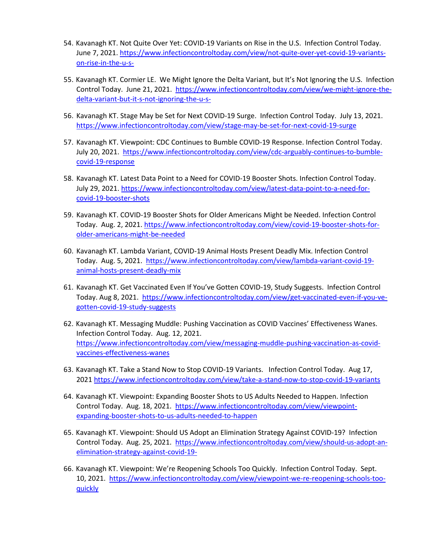- 54. Kavanagh KT. Not Quite Over Yet: COVID-19 Variants on Rise in the U.S. Infection Control Today. June 7, 2021[. https://www.infectioncontroltoday.com/view/not-quite-over-yet-covid-19-variants](https://www.infectioncontroltoday.com/view/not-quite-over-yet-covid-19-variants-on-rise-in-the-u-s-)[on-rise-in-the-u-s-](https://www.infectioncontroltoday.com/view/not-quite-over-yet-covid-19-variants-on-rise-in-the-u-s-)
- 55. Kavanagh KT. Cormier LE. We Might Ignore the Delta Variant, but It's Not Ignoring the U.S. Infection Control Today. June 21, 2021. [https://www.infectioncontroltoday.com/view/we-might-ignore-the](https://www.infectioncontroltoday.com/view/we-might-ignore-the-delta-variant-but-it-s-not-ignoring-the-u-s-)[delta-variant-but-it-s-not-ignoring-the-u-s-](https://www.infectioncontroltoday.com/view/we-might-ignore-the-delta-variant-but-it-s-not-ignoring-the-u-s-)
- 56. Kavanagh KT. Stage May be Set for Next COVID-19 Surge. Infection Control Today. July 13, 2021. <https://www.infectioncontroltoday.com/view/stage-may-be-set-for-next-covid-19-surge>
- 57. Kavanagh KT. Viewpoint: CDC Continues to Bumble COVID-19 Response. Infection Control Today. July 20, 2021. [https://www.infectioncontroltoday.com/view/cdc-arguably-continues-to-bumble](https://www.infectioncontroltoday.com/view/cdc-arguably-continues-to-bumble-covid-19-response)[covid-19-response](https://www.infectioncontroltoday.com/view/cdc-arguably-continues-to-bumble-covid-19-response)
- 58. Kavanagh KT. Latest Data Point to a Need for COVID-19 Booster Shots. Infection Control Today. July 29, 2021. [https://www.infectioncontroltoday.com/view/latest-data-point-to-a-need-for](https://www.infectioncontroltoday.com/view/latest-data-point-to-a-need-for-covid-19-booster-shots)[covid-19-booster-shots](https://www.infectioncontroltoday.com/view/latest-data-point-to-a-need-for-covid-19-booster-shots)
- 59. Kavanagh KT. COVID-19 Booster Shots for Older Americans Might be Needed. Infection Control Today. Aug. 2, 2021. [https://www.infectioncontroltoday.com/view/covid-19-booster-shots-for](https://www.infectioncontroltoday.com/view/covid-19-booster-shots-for-older-americans-might-be-needed)[older-americans-might-be-needed](https://www.infectioncontroltoday.com/view/covid-19-booster-shots-for-older-americans-might-be-needed)
- 60. Kavanagh KT. Lambda Variant, COVID-19 Animal Hosts Present Deadly Mix. Infection Control Today. Aug. 5, 2021. [https://www.infectioncontroltoday.com/view/lambda-variant-covid-19](https://www.infectioncontroltoday.com/view/lambda-variant-covid-19-animal-hosts-present-deadly-mix) [animal-hosts-present-deadly-mix](https://www.infectioncontroltoday.com/view/lambda-variant-covid-19-animal-hosts-present-deadly-mix)
- 61. Kavanagh KT. Get Vaccinated Even If You've Gotten COVID-19, Study Suggests. Infection Control Today. Aug 8, 2021. [https://www.infectioncontroltoday.com/view/get-vaccinated-even-if-you-ve](https://www.infectioncontroltoday.com/view/get-vaccinated-even-if-you-ve-gotten-covid-19-study-suggests)[gotten-covid-19-study-suggests](https://www.infectioncontroltoday.com/view/get-vaccinated-even-if-you-ve-gotten-covid-19-study-suggests)
- 62. Kavanagh KT. Messaging Muddle: Pushing Vaccination as COVID Vaccines' Effectiveness Wanes. Infection Control Today. Aug. 12, 2021. [https://www.infectioncontroltoday.com/view/messaging-muddle-pushing-vaccination-as-covid](https://www.infectioncontroltoday.com/view/messaging-muddle-pushing-vaccination-as-covid-vaccines-effectiveness-wanes)[vaccines-effectiveness-wanes](https://www.infectioncontroltoday.com/view/messaging-muddle-pushing-vaccination-as-covid-vaccines-effectiveness-wanes)
- 63. Kavanagh KT. Take a Stand Now to Stop COVID-19 Variants. Infection Control Today. Aug 17, 2021<https://www.infectioncontroltoday.com/view/take-a-stand-now-to-stop-covid-19-variants>
- 64. Kavanagh KT. Viewpoint: Expanding Booster Shots to US Adults Needed to Happen. Infection Control Today. Aug. 18, 2021. [https://www.infectioncontroltoday.com/view/viewpoint](https://www.infectioncontroltoday.com/view/viewpoint-expanding-booster-shots-to-us-adults-needed-to-happen)[expanding-booster-shots-to-us-adults-needed-to-happen](https://www.infectioncontroltoday.com/view/viewpoint-expanding-booster-shots-to-us-adults-needed-to-happen)
- 65. Kavanagh KT. Viewpoint: Should US Adopt an Elimination Strategy Against COVID-19? Infection Control Today. Aug. 25, 2021. [https://www.infectioncontroltoday.com/view/should-us-adopt-an](https://www.infectioncontroltoday.com/view/should-us-adopt-an-elimination-strategy-against-covid-19-)[elimination-strategy-against-covid-19-](https://www.infectioncontroltoday.com/view/should-us-adopt-an-elimination-strategy-against-covid-19-)
- 66. Kavanagh KT. Viewpoint: We're Reopening Schools Too Quickly. Infection Control Today. Sept. 10, 2021. [https://www.infectioncontroltoday.com/view/viewpoint-we-re-reopening-schools-too](https://www.infectioncontroltoday.com/view/viewpoint-we-re-reopening-schools-too-quickly)[quickly](https://www.infectioncontroltoday.com/view/viewpoint-we-re-reopening-schools-too-quickly)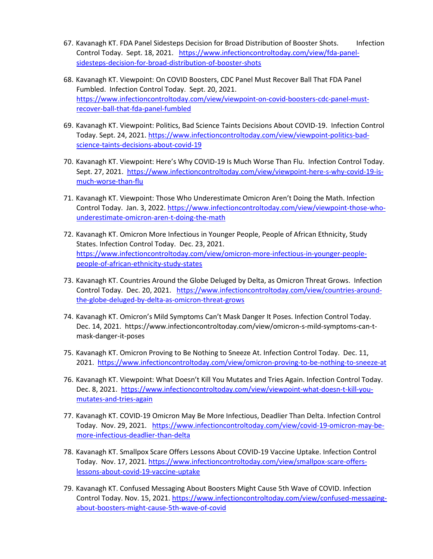- 67. Kavanagh KT. FDA Panel Sidesteps Decision for Broad Distribution of Booster Shots. Infection Control Today. Sept. 18, 2021. [https://www.infectioncontroltoday.com/view/fda-panel](https://www.infectioncontroltoday.com/view/fda-panel-sidesteps-decision-for-broad-distribution-of-booster-shots)[sidesteps-decision-for-broad-distribution-of-booster-shots](https://www.infectioncontroltoday.com/view/fda-panel-sidesteps-decision-for-broad-distribution-of-booster-shots)
- 68. Kavanagh KT. Viewpoint: On COVID Boosters, CDC Panel Must Recover Ball That FDA Panel Fumbled. Infection Control Today. Sept. 20, 2021. [https://www.infectioncontroltoday.com/view/viewpoint-on-covid-boosters-cdc-panel-must](https://www.infectioncontroltoday.com/view/viewpoint-on-covid-boosters-cdc-panel-must-recover-ball-that-fda-panel-fumbled)[recover-ball-that-fda-panel-fumbled](https://www.infectioncontroltoday.com/view/viewpoint-on-covid-boosters-cdc-panel-must-recover-ball-that-fda-panel-fumbled)
- 69. Kavanagh KT. Viewpoint: Politics, Bad Science Taints Decisions About COVID-19. Infection Control Today. Sept. 24, 2021[. https://www.infectioncontroltoday.com/view/viewpoint-politics-bad](https://www.infectioncontroltoday.com/view/viewpoint-politics-bad-science-taints-decisions-about-covid-19)[science-taints-decisions-about-covid-19](https://www.infectioncontroltoday.com/view/viewpoint-politics-bad-science-taints-decisions-about-covid-19)
- 70. Kavanagh KT. Viewpoint: Here's Why COVID-19 Is Much Worse Than Flu. Infection Control Today. Sept. 27, 2021. [https://www.infectioncontroltoday.com/view/viewpoint-here-s-why-covid-19-is](https://www.infectioncontroltoday.com/view/viewpoint-here-s-why-covid-19-is-much-worse-than-flu)[much-worse-than-flu](https://www.infectioncontroltoday.com/view/viewpoint-here-s-why-covid-19-is-much-worse-than-flu)
- 71. Kavanagh KT. Viewpoint: Those Who Underestimate Omicron Aren't Doing the Math. Infection Control Today. Jan. 3, 2022. [https://www.infectioncontroltoday.com/view/viewpoint-those-who](https://www.infectioncontroltoday.com/view/viewpoint-those-who-underestimate-omicron-aren-t-doing-the-math)[underestimate-omicron-aren-t-doing-the-math](https://www.infectioncontroltoday.com/view/viewpoint-those-who-underestimate-omicron-aren-t-doing-the-math)
- 72. Kavanagh KT. Omicron More Infectious in Younger People, People of African Ethnicity, Study States. Infection Control Today. Dec. 23, 2021. [https://www.infectioncontroltoday.com/view/omicron-more-infectious-in-younger-people](https://www.infectioncontroltoday.com/view/omicron-more-infectious-in-younger-people-people-of-african-ethnicity-study-states)[people-of-african-ethnicity-study-states](https://www.infectioncontroltoday.com/view/omicron-more-infectious-in-younger-people-people-of-african-ethnicity-study-states)
- 73. Kavanagh KT. Countries Around the Globe Deluged by Delta, as Omicron Threat Grows. Infection Control Today. Dec. 20, 2021. [https://www.infectioncontroltoday.com/view/countries-around](https://www.infectioncontroltoday.com/view/countries-around-the-globe-deluged-by-delta-as-omicron-threat-grows)[the-globe-deluged-by-delta-as-omicron-threat-grows](https://www.infectioncontroltoday.com/view/countries-around-the-globe-deluged-by-delta-as-omicron-threat-grows)
- 74. Kavanagh KT. Omicron's Mild Symptoms Can't Mask Danger It Poses. Infection Control Today. Dec. 14, 2021. https://www.infectioncontroltoday.com/view/omicron-s-mild-symptoms-can-tmask-danger-it-poses
- 75. Kavanagh KT. Omicron Proving to Be Nothing to Sneeze At. Infection Control Today. Dec. 11, 2021. <https://www.infectioncontroltoday.com/view/omicron-proving-to-be-nothing-to-sneeze-at>
- 76. Kavanagh KT. Viewpoint: What Doesn't Kill You Mutates and Tries Again. Infection Control Today. Dec. 8, 2021. [https://www.infectioncontroltoday.com/view/viewpoint-what-doesn-t-kill-you](https://www.infectioncontroltoday.com/view/viewpoint-what-doesn-t-kill-you-mutates-and-tries-again)[mutates-and-tries-again](https://www.infectioncontroltoday.com/view/viewpoint-what-doesn-t-kill-you-mutates-and-tries-again)
- 77. Kavanagh KT. COVID-19 Omicron May Be More Infectious, Deadlier Than Delta. Infection Control Today. Nov. 29, 2021. [https://www.infectioncontroltoday.com/view/covid-19-omicron-may-be](https://www.infectioncontroltoday.com/view/covid-19-omicron-may-be-more-infectious-deadlier-than-delta)[more-infectious-deadlier-than-delta](https://www.infectioncontroltoday.com/view/covid-19-omicron-may-be-more-infectious-deadlier-than-delta)
- 78. Kavanagh KT. Smallpox Scare Offers Lessons About COVID-19 Vaccine Uptake. Infection Control Today. Nov. 17, 2021. [https://www.infectioncontroltoday.com/view/smallpox-scare-offers](https://www.infectioncontroltoday.com/view/smallpox-scare-offers-lessons-about-covid-19-vaccine-uptake)[lessons-about-covid-19-vaccine-uptake](https://www.infectioncontroltoday.com/view/smallpox-scare-offers-lessons-about-covid-19-vaccine-uptake)
- 79. Kavanagh KT. Confused Messaging About Boosters Might Cause 5th Wave of COVID. Infection Control Today. Nov. 15, 2021. [https://www.infectioncontroltoday.com/view/confused-messaging](https://www.infectioncontroltoday.com/view/confused-messaging-about-boosters-might-cause-5th-wave-of-covid)[about-boosters-might-cause-5th-wave-of-covid](https://www.infectioncontroltoday.com/view/confused-messaging-about-boosters-might-cause-5th-wave-of-covid)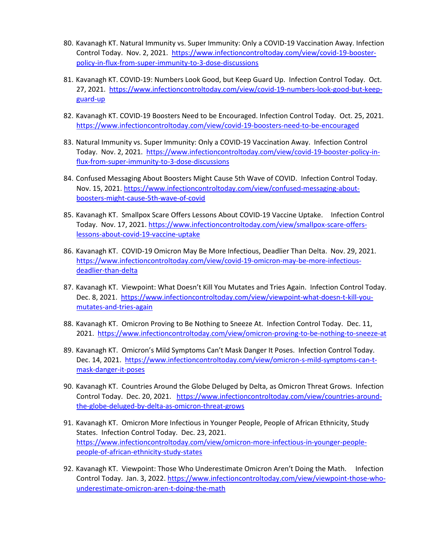- 80. Kavanagh KT. Natural Immunity vs. Super Immunity: Only a COVID-19 Vaccination Away. Infection Control Today. Nov. 2, 2021. [https://www.infectioncontroltoday.com/view/covid-19-booster](https://www.infectioncontroltoday.com/view/covid-19-booster-policy-in-flux-from-super-immunity-to-3-dose-discussions)[policy-in-flux-from-super-immunity-to-3-dose-discussions](https://www.infectioncontroltoday.com/view/covid-19-booster-policy-in-flux-from-super-immunity-to-3-dose-discussions)
- 81. Kavanagh KT. COVID-19: Numbers Look Good, but Keep Guard Up. Infection Control Today. Oct. 27, 2021. [https://www.infectioncontroltoday.com/view/covid-19-numbers-look-good-but-keep](https://www.infectioncontroltoday.com/view/covid-19-numbers-look-good-but-keep-guard-up)[guard-up](https://www.infectioncontroltoday.com/view/covid-19-numbers-look-good-but-keep-guard-up)
- 82. Kavanagh KT. COVID-19 Boosters Need to be Encouraged. Infection Control Today. Oct. 25, 2021. <https://www.infectioncontroltoday.com/view/covid-19-boosters-need-to-be-encouraged>
- 83. Natural Immunity vs. Super Immunity: Only a COVID-19 Vaccination Away. Infection Control Today. Nov. 2, 2021. [https://www.infectioncontroltoday.com/view/covid-19-booster-policy-in](https://www.infectioncontroltoday.com/view/covid-19-booster-policy-in-flux-from-super-immunity-to-3-dose-discussions)[flux-from-super-immunity-to-3-dose-discussions](https://www.infectioncontroltoday.com/view/covid-19-booster-policy-in-flux-from-super-immunity-to-3-dose-discussions)
- 84. Confused Messaging About Boosters Might Cause 5th Wave of COVID. Infection Control Today. Nov. 15, 2021. [https://www.infectioncontroltoday.com/view/confused-messaging-about](https://www.infectioncontroltoday.com/view/confused-messaging-about-boosters-might-cause-5th-wave-of-covid)[boosters-might-cause-5th-wave-of-covid](https://www.infectioncontroltoday.com/view/confused-messaging-about-boosters-might-cause-5th-wave-of-covid)
- 85. Kavanagh KT. Smallpox Scare Offers Lessons About COVID-19 Vaccine Uptake. Infection Control Today. Nov. 17, 2021. [https://www.infectioncontroltoday.com/view/smallpox-scare-offers](https://www.infectioncontroltoday.com/view/smallpox-scare-offers-lessons-about-covid-19-vaccine-uptake)[lessons-about-covid-19-vaccine-uptake](https://www.infectioncontroltoday.com/view/smallpox-scare-offers-lessons-about-covid-19-vaccine-uptake)
- 86. Kavanagh KT. COVID-19 Omicron May Be More Infectious, Deadlier Than Delta. Nov. 29, 2021. [https://www.infectioncontroltoday.com/view/covid-19-omicron-may-be-more-infectious](https://www.infectioncontroltoday.com/view/covid-19-omicron-may-be-more-infectious-deadlier-than-delta)[deadlier-than-delta](https://www.infectioncontroltoday.com/view/covid-19-omicron-may-be-more-infectious-deadlier-than-delta)
- 87. Kavanagh KT. Viewpoint: What Doesn't Kill You Mutates and Tries Again. Infection Control Today. Dec. 8, 2021. [https://www.infectioncontroltoday.com/view/viewpoint-what-doesn-t-kill-you](https://www.infectioncontroltoday.com/view/viewpoint-what-doesn-t-kill-you-mutates-and-tries-again)[mutates-and-tries-again](https://www.infectioncontroltoday.com/view/viewpoint-what-doesn-t-kill-you-mutates-and-tries-again)
- 88. Kavanagh KT. Omicron Proving to Be Nothing to Sneeze At. Infection Control Today. Dec. 11, 2021. <https://www.infectioncontroltoday.com/view/omicron-proving-to-be-nothing-to-sneeze-at>
- 89. Kavanagh KT. Omicron's Mild Symptoms Can't Mask Danger It Poses. Infection Control Today. Dec. 14, 2021. [https://www.infectioncontroltoday.com/view/omicron-s-mild-symptoms-can-t](https://www.infectioncontroltoday.com/view/omicron-s-mild-symptoms-can-t-mask-danger-it-poses)[mask-danger-it-poses](https://www.infectioncontroltoday.com/view/omicron-s-mild-symptoms-can-t-mask-danger-it-poses)
- 90. Kavanagh KT. Countries Around the Globe Deluged by Delta, as Omicron Threat Grows. Infection Control Today. Dec. 20, 2021. [https://www.infectioncontroltoday.com/view/countries-around](https://www.infectioncontroltoday.com/view/countries-around-the-globe-deluged-by-delta-as-omicron-threat-grows)[the-globe-deluged-by-delta-as-omicron-threat-grows](https://www.infectioncontroltoday.com/view/countries-around-the-globe-deluged-by-delta-as-omicron-threat-grows)
- 91. Kavanagh KT. Omicron More Infectious in Younger People, People of African Ethnicity, Study States. Infection Control Today. Dec. 23, 2021. [https://www.infectioncontroltoday.com/view/omicron-more-infectious-in-younger-people](https://www.infectioncontroltoday.com/view/omicron-more-infectious-in-younger-people-people-of-african-ethnicity-study-states)[people-of-african-ethnicity-study-states](https://www.infectioncontroltoday.com/view/omicron-more-infectious-in-younger-people-people-of-african-ethnicity-study-states)
- 92. Kavanagh KT. Viewpoint: Those Who Underestimate Omicron Aren't Doing the Math. Infection Control Today. Jan. 3, 2022. [https://www.infectioncontroltoday.com/view/viewpoint-those-who](https://www.infectioncontroltoday.com/view/viewpoint-those-who-underestimate-omicron-aren-t-doing-the-math)[underestimate-omicron-aren-t-doing-the-math](https://www.infectioncontroltoday.com/view/viewpoint-those-who-underestimate-omicron-aren-t-doing-the-math)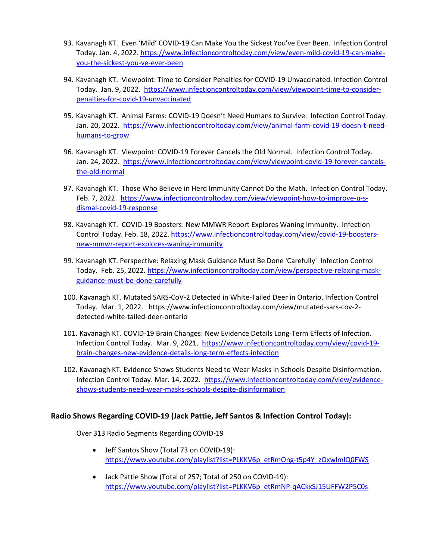- 93. Kavanagh KT. Even 'Mild' COVID-19 Can Make You the Sickest You've Ever Been. Infection Control Today. Jan. 4, 2022[. https://www.infectioncontroltoday.com/view/even-mild-covid-19-can-make](https://www.infectioncontroltoday.com/view/even-mild-covid-19-can-make-you-the-sickest-you-ve-ever-been)[you-the-sickest-you-ve-ever-been](https://www.infectioncontroltoday.com/view/even-mild-covid-19-can-make-you-the-sickest-you-ve-ever-been)
- 94. Kavanagh KT. Viewpoint: Time to Consider Penalties for COVID-19 Unvaccinated. Infection Control Today. Jan. 9, 2022. [https://www.infectioncontroltoday.com/view/viewpoint-time-to-consider](https://www.infectioncontroltoday.com/view/viewpoint-time-to-consider-penalties-for-covid-19-unvaccinated)[penalties-for-covid-19-unvaccinated](https://www.infectioncontroltoday.com/view/viewpoint-time-to-consider-penalties-for-covid-19-unvaccinated)
- 95. Kavanagh KT. Animal Farms: COVID-19 Doesn't Need Humans to Survive. Infection Control Today. Jan. 20, 2022. [https://www.infectioncontroltoday.com/view/animal-farm-covid-19-doesn-t-need](https://www.infectioncontroltoday.com/view/animal-farm-covid-19-doesn-t-need-humans-to-grow)[humans-to-grow](https://www.infectioncontroltoday.com/view/animal-farm-covid-19-doesn-t-need-humans-to-grow)
- 96. Kavanagh KT. Viewpoint: COVID-19 Forever Cancels the Old Normal. Infection Control Today. Jan. 24, 2022. [https://www.infectioncontroltoday.com/view/viewpoint-covid-19-forever-cancels](https://www.infectioncontroltoday.com/view/viewpoint-covid-19-forever-cancels-the-old-normal)[the-old-normal](https://www.infectioncontroltoday.com/view/viewpoint-covid-19-forever-cancels-the-old-normal)
- 97. Kavanagh KT. Those Who Believe in Herd Immunity Cannot Do the Math. Infection Control Today. Feb. 7, 2022. [https://www.infectioncontroltoday.com/view/viewpoint-how-to-improve-u-s](https://www.infectioncontroltoday.com/view/viewpoint-how-to-improve-u-s-dismal-covid-19-response)[dismal-covid-19-response](https://www.infectioncontroltoday.com/view/viewpoint-how-to-improve-u-s-dismal-covid-19-response)
- 98. Kavanagh KT. COVID-19 Boosters: New MMWR Report Explores Waning Immunity. Infection Control Today. Feb. 18, 2022[. https://www.infectioncontroltoday.com/view/covid-19-boosters](https://www.infectioncontroltoday.com/view/covid-19-boosters-new-mmwr-report-explores-waning-immunity)[new-mmwr-report-explores-waning-immunity](https://www.infectioncontroltoday.com/view/covid-19-boosters-new-mmwr-report-explores-waning-immunity)
- 99. Kavanagh KT. Perspective: Relaxing Mask Guidance Must Be Done 'Carefully' Infection Control Today. Feb. 25, 2022[. https://www.infectioncontroltoday.com/view/perspective-relaxing-mask](https://www.infectioncontroltoday.com/view/perspective-relaxing-mask-guidance-must-be-done-carefully)[guidance-must-be-done-carefully](https://www.infectioncontroltoday.com/view/perspective-relaxing-mask-guidance-must-be-done-carefully)
- 100. Kavanagh KT. Mutated SARS-CoV-2 Detected in White-Tailed Deer in Ontario. Infection Control Today. Mar. 1, 2022. https://www.infectioncontroltoday.com/view/mutated-sars-cov-2 detected-white-tailed-deer-ontario
- 101. Kavanagh KT. COVID-19 Brain Changes: New Evidence Details Long-Term Effects of Infection. Infection Control Today. Mar. 9, 2021. [https://www.infectioncontroltoday.com/view/covid-19](https://www.infectioncontroltoday.com/view/covid-19-brain-changes-new-evidence-details-long-term-effects-infection) [brain-changes-new-evidence-details-long-term-effects-infection](https://www.infectioncontroltoday.com/view/covid-19-brain-changes-new-evidence-details-long-term-effects-infection)
- 102. Kavanagh KT. Evidence Shows Students Need to Wear Masks in Schools Despite Disinformation. Infection Control Today. Mar. 14, 2022. [https://www.infectioncontroltoday.com/view/evidence](https://www.infectioncontroltoday.com/view/evidence-shows-students-need-wear-masks-schools-despite-disinformation)[shows-students-need-wear-masks-schools-despite-disinformation](https://www.infectioncontroltoday.com/view/evidence-shows-students-need-wear-masks-schools-despite-disinformation)

# **Radio Shows Regarding COVID-19 (Jack Pattie, Jeff Santos & Infection Control Today):**

Over 313 Radio Segments Regarding COVID-19

- Jeff Santos Show (Total 73 on COVID-19): [https://www.youtube.com/playlist?list=PLKKV6p\\_etRmOng-t5p4Y\\_zOxwlmlQ0FWS](https://www.youtube.com/playlist?list=PLKKV6p_etRmOng-t5p4Y_zOxwlmlQ0FWS)
- Jack Pattie Show (Total of 257; Total of 250 on COVID-19): [https://www.youtube.com/playlist?list=PLKKV6p\\_etRmNP-qACkxSJ15UFFW2P5C0s](https://www.youtube.com/playlist?list=PLKKV6p_etRmNP-qACkxSJ15UFFW2P5C0s)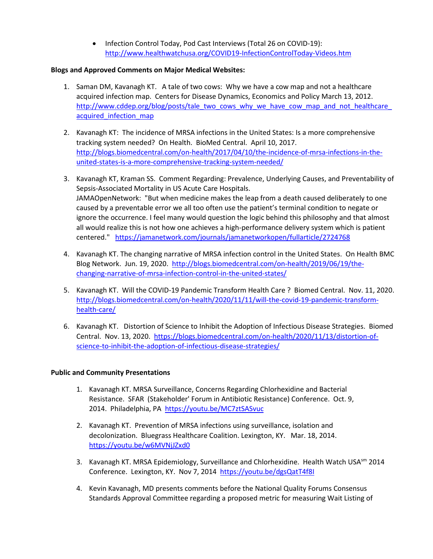• Infection Control Today, Pod Cast Interviews (Total 26 on COVID-19): <http://www.healthwatchusa.org/COVID19-InfectionControlToday-Videos.htm>

### **Blogs and Approved Comments on Major Medical Websites:**

- 1. Saman DM, Kavanagh KT. A tale of two cows: Why we have a cow map and not a healthcare acquired infection map. Centers for Disease Dynamics, Economics and Policy March 13, 2012. http://www.cddep.org/blog/posts/tale\_two\_cows\_why\_we\_have\_cow\_map\_and\_not\_healthcare acquired infection map
- 2. Kavanagh KT: The incidence of MRSA infections in the United States: Is a more comprehensive tracking system needed? On Health. BioMed Central. April 10, 2017. [http://blogs.biomedcentral.com/on-health/2017/04/10/the-incidence-of-mrsa-infections-in-the](http://blogs.biomedcentral.com/on-health/2017/04/10/the-incidence-of-mrsa-infections-in-the-united-states-is-a-more-comprehensive-tracking-system-needed/)[united-states-is-a-more-comprehensive-tracking-system-needed/](http://blogs.biomedcentral.com/on-health/2017/04/10/the-incidence-of-mrsa-infections-in-the-united-states-is-a-more-comprehensive-tracking-system-needed/)
- 3. Kavanagh KT, Kraman SS. Comment Regarding: Prevalence, Underlying Causes, and Preventability of Sepsis-Associated Mortality in US Acute Care Hospitals. JAMAOpenNetwork: "But when medicine makes the leap from a death caused deliberately to one caused by a preventable error we all too often use the patient's terminal condition to negate or ignore the occurrence. I feel many would question the logic behind this philosophy and that almost all would realize this is not how one achieves a high-performance delivery system which is patient centered." <https://jamanetwork.com/journals/jamanetworkopen/fullarticle/2724768>
- 4. Kavanagh KT. The changing narrative of MRSA infection control in the United States. On Health BMC Blog Network. Jun. 19, 2020. [http://blogs.biomedcentral.com/on-health/2019/06/19/the](http://blogs.biomedcentral.com/on-health/2019/06/19/the-changing-narrative-of-mrsa-infection-control-in-the-united-states/)[changing-narrative-of-mrsa-infection-control-in-the-united-states/](http://blogs.biomedcentral.com/on-health/2019/06/19/the-changing-narrative-of-mrsa-infection-control-in-the-united-states/)
- 5. Kavanagh KT. Will the COVID-19 Pandemic Transform Health Care ? Biomed Central. Nov. 11, 2020. [http://blogs.biomedcentral.com/on-health/2020/11/11/will-the-covid-19-pandemic-transform](http://blogs.biomedcentral.com/on-health/2020/11/11/will-the-covid-19-pandemic-transform-health-care/)[health-care/](http://blogs.biomedcentral.com/on-health/2020/11/11/will-the-covid-19-pandemic-transform-health-care/)
- 6. Kavanagh KT. Distortion of Science to Inhibit the Adoption of Infectious Disease Strategies. Biomed Central. Nov. 13, 2020. [https://blogs.biomedcentral.com/on-health/2020/11/13/distortion-of](https://blogs.biomedcentral.com/on-health/2020/11/13/distortion-of-science-to-inhibit-the-adoption-of-infectious-disease-strategies/)[science-to-inhibit-the-adoption-of-infectious-disease-strategies/](https://blogs.biomedcentral.com/on-health/2020/11/13/distortion-of-science-to-inhibit-the-adoption-of-infectious-disease-strategies/)

### **Public and Community Presentations**

- 1. Kavanagh KT. MRSA Surveillance, Concerns Regarding Chlorhexidine and Bacterial Resistance. SFAR (Stakeholder' Forum in Antibiotic Resistance) Conference. Oct. 9, 2014. Philadelphia, PA <https://youtu.be/MC7ztSASvuc>
- 2. Kavanagh KT. Prevention of MRSA infections using surveillance, isolation and decolonization. Bluegrass Healthcare Coalition. Lexington, KY. Mar. 18, 2014. <https://youtu.be/w6MVNjJZxd0>
- 3. Kavanagh KT. MRSA Epidemiology, Surveillance and Chlorhexidine. Health Watch USA<sup>sm</sup> 2014 Conference. Lexington, KY. Nov 7, 2014 <https://youtu.be/dgsQatT4f8I>
- 4. Kevin Kavanagh, MD presents comments before the National Quality Forums Consensus Standards Approval Committee regarding a proposed metric for measuring Wait Listing of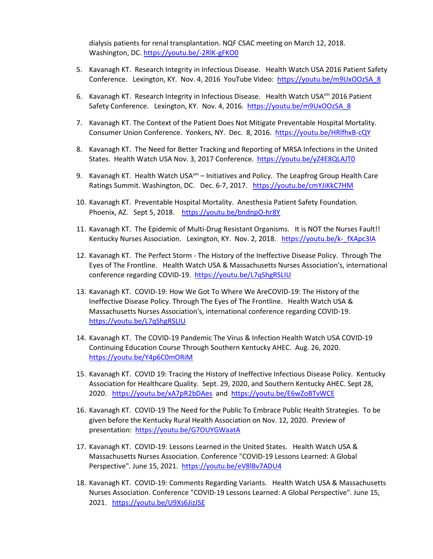dialysis patients for renal transplantation. NQF CSAC meeting on March 12, 2018. Washington, DC.<https://youtu.be/-2RlK-gFKO0>

- 5. Kavanagh KT. Research Integrity in Infectious Disease. Health Watch USA 2016 Patient Safety Conference. Lexington, KY. Nov. 4, 2016 YouTube Video: [https://youtu.be/m9UxOOzSA\\_8](https://youtu.be/m9UxOOzSA_8)
- 6. Kavanagh KT. Research Integrity in Infectious Disease. Health Watch USA<sup>sm</sup> 2016 Patient Safety Conference. Lexington, KY. Nov. 4, 2016. [https://youtu.be/m9UxOOzSA\\_8](https://youtu.be/m9UxOOzSA_8)
- 7. Kavanagh KT. The Context of the Patient Does Not Mitigate Preventable Hospital Mortality. Consumer Union Conference. Yonkers, NY. Dec. 8, 2016. <https://youtu.be/HRlfhxB-cQY>
- 8. Kavanagh KT. The Need for Better Tracking and Reporting of MRSA Infections in the United States. Health Watch USA Nov. 3, 2017 Conference. <https://youtu.be/yZ4E8QLAJT0>
- 9. Kavanagh KT. Health Watch USA<sup>sm</sup> Initiatives and Policy. The Leapfrog Group Health Care Ratings Summit. Washington, DC. Dec. 6-7, 2017. https://youtu.be/cmYJiKkC7HM
- 10. Kavanagh KT. Preventable Hospital Mortality. Anesthesia Patient Safety Foundation. Phoenix, AZ. Sept 5, 2018. <https://youtu.be/bndnpO-hr8Y>
- 11. Kavanagh KT. The Epidemic of Multi-Drug Resistant Organisms. It is NOT the Nurses Fault!! Kentucky Nurses Association. Lexington, KY. Nov. 2, 2018. https://youtu.be/k-fXApc3lA
- 12. Kavanagh KT. The Perfect Storm The History of the Ineffective Disease Policy. Through The Eyes of The Frontline. Health Watch USA & Massachusetts Nurses Association's, international conference regarding COVID-19. <https://youtu.be/L7qShgRSLIU>
- 13. Kavanagh KT. COVID-19: How We Got To Where We AreCOVID-19: The History of the Ineffective Disease Policy. Through The Eyes of The Frontline. Health Watch USA & Massachusetts Nurses Association's, international conference regarding COVID-19. <https://youtu.be/L7qShgRSLIU>
- 14. Kavanagh KT. The COVID-19 Pandemic The Virus & Infection Health Watch USA COVID-19 Continuing Education Course Through Southern Kentucky AHEC. Aug. 26, 2020. <https://youtu.be/Y4p6C0mORiM>
- 15. Kavanagh KT. COVID 19: Tracing the History of Ineffective Infectious Disease Policy. Kentucky Association for Healthcare Quality. Sept. 29, 2020, and Southern Kentucky AHEC. Sept 28, 2020. <https://youtu.be/xA7pR2bDAes>and <https://youtu.be/E6wZoBTvWCE>
- 16. Kavanagh KT. COVID-19 The Need for the Public To Embrace Public Health Strategies. To be given before the Kentucky Rural Health Association on Nov. 12, 2020. Preview of presentation: <https://youtu.be/G7OUYGWaatA>
- 17. Kavanagh KT. COVID-19: Lessons Learned in the United States. Health Watch USA & Massachusetts Nurses Association. Conference "COVID-19 Lessons Learned: A Global Perspective". June 15, 2021. <https://youtu.be/eV8lBv7ADU4>
- 18. Kavanagh KT. COVID-19: Comments Regarding Variants. Health Watch USA & Massachusetts Nurses Association. Conference "COVID-19 Lessons Learned: A Global Perspective". June 15, 2021. <https://youtu.be/U9Xs6JizJSE>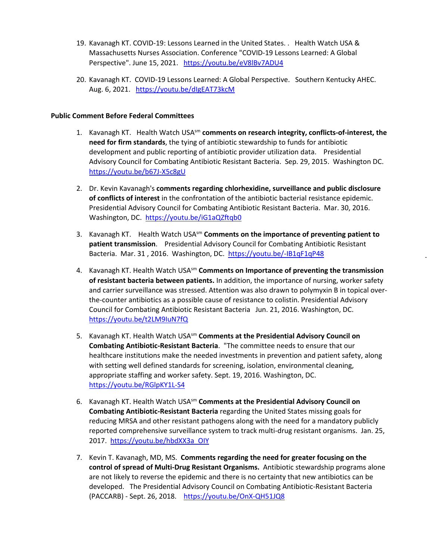- 19. Kavanagh KT. COVID-19: Lessons Learned in the United States. . Health Watch USA & Massachusetts Nurses Association. Conference "COVID-19 Lessons Learned: A Global Perspective". June 15, 2021. <https://youtu.be/eV8lBv7ADU4>
- 20. Kavanagh KT. COVID-19 Lessons Learned: A Global Perspective. Southern Kentucky AHEC. Aug. 6, 2021. <https://youtu.be/dIgEAT73kcM>

### **Public Comment Before Federal Committees**

- 1. Kavanagh KT. Health Watch USAsm **comments on research integrity, conflicts-of-interest, the need for firm standards**, the tying of antibiotic stewardship to funds for antibiotic development and public reporting of antibiotic provider utilization data. Presidential Advisory Council for Combating Antibiotic Resistant Bacteria. Sep. 29, 2015. Washington DC. <https://youtu.be/b67J-X5c8gU>
- 2. Dr. Kevin Kavanagh's **comments regarding chlorhexidine, surveillance and public disclosure of conflicts of interest** in the confrontation of the antibiotic bacterial resistance epidemic. Presidential Advisory Council for Combating Antibiotic Resistant Bacteria. Mar. 30, 2016. Washington, DC.<https://youtu.be/iG1aQZftqb0>
- 3. Kavanagh KT. Health Watch USAsm **Comments on the importance of preventing patient to patient transmission**. Presidential Advisory Council for Combating Antibiotic Resistant Bacteria. Mar. 31 , 2016. Washington, DC.<https://youtu.be/-IB1qF1qP48>
- 4. Kavanagh KT. Health Watch USAsm **Comments on Importance of preventing the transmission of resistant bacteria between patients.** In addition, the importance of nursing, worker safety and carrier surveillance was stressed. Attention was also drawn to polymyxin B in topical overthe-counter antibiotics as a possible cause of resistance to colistin. Presidential Advisory Council for Combating Antibiotic Resistant Bacteria Jun. 21, 2016. Washington, DC. <https://youtu.be/t2LM9IuN7fQ>
- 5. Kavanagh KT. Health Watch USAsm **Comments at the Presidential Advisory Council on Combating Antibiotic-Resistant Bacteria**. "The committee needs to ensure that our healthcare institutions make the needed investments in prevention and patient safety, along with setting well defined standards for screening, isolation, environmental cleaning, appropriate staffing and worker safety. Sept. 19, 2016. Washington, DC. <https://youtu.be/RGlpKY1L-S4>
- 6. Kavanagh KT. Health Watch USAsm **Comments at the Presidential Advisory Council on Combating Antibiotic-Resistant Bacteria** regarding the United States missing goals for reducing MRSA and other resistant pathogens along with the need for a mandatory publicly reported comprehensive surveillance system to track multi-drug resistant organisms. Jan. 25, 2017. [https://youtu.be/hbdXX3a\\_OIY](https://youtu.be/hbdXX3a_OIY)
- 7. Kevin T. Kavanagh, MD, MS. **Comments regarding the need for greater focusing on the control of spread of Multi-Drug Resistant Organisms.** Antibiotic stewardship programs alone are not likely to reverse the epidemic and there is no certainty that new antibiotics can be developed. The Presidential Advisory Council on Combating Antibiotic-Resistant Bacteria (PACCARB) - Sept. 26, 2018. <https://youtu.be/OnX-QH51JQ8>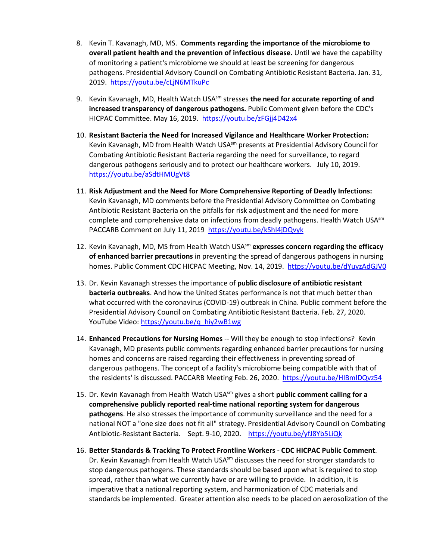- 8. Kevin T. Kavanagh, MD, MS. **Comments regarding the importance of the microbiome to overall patient health and the prevention of infectious disease.** Until we have the capability of monitoring a patient's microbiome we should at least be screening for dangerous pathogens. Presidential Advisory Council on Combating Antibiotic Resistant Bacteria. Jan. 31, 2019. <https://youtu.be/cLjN6MTkuPc>
- 9. Kevin Kavanagh, MD, Health Watch USAsm stresses **the need for accurate reporting of and increased transparency of dangerous pathogens.** Public Comment given before the CDC's HICPAC Committee. May 16, 2019. <https://youtu.be/zFGjj4D42x4>
- 10. **Resistant Bacteria the Need for Increased Vigilance and Healthcare Worker Protection:** Kevin Kavanagh, MD from Health Watch USA<sup>sm</sup> presents at Presidential Advisory Council for Combating Antibiotic Resistant Bacteria regarding the need for surveillance, to regard dangerous pathogens seriously and to protect our healthcare workers. July 10, 2019. <https://youtu.be/aSdtHMUgVt8>
- 11. **Risk Adjustment and the Need for More Comprehensive Reporting of Deadly Infections:** Kevin Kavanagh, MD comments before the Presidential Advisory Committee on Combating Antibiotic Resistant Bacteria on the pitfalls for risk adjustment and the need for more complete and comprehensive data on infections from deadly pathogens. Health Watch USA<sup>sm</sup> PACCARB Comment on July 11, 2019 <https://youtu.be/kShI4jDQvyk>
- 12. Kevin Kavanagh, MD, MS from Health Watch USAsm **expresses concern regarding the efficacy of enhanced barrier precautions** in preventing the spread of dangerous pathogens in nursing homes. Public Comment CDC HICPAC Meeting, Nov. 14, 2019. https://youtu.be/dYuvzAdGJV0
- 13. Dr. Kevin Kavanagh stresses the importance of **public disclosure of antibiotic resistant bacteria outbreaks**. And how the United States performance is not that much better than what occurred with the coronavirus (COVID-19) outbreak in China. Public comment before the Presidential Advisory Council on Combating Antibiotic Resistant Bacteria. Feb. 27, 2020. YouTube Video: https://youtu.be/q\_hiy2wB1wg
- 14. **Enhanced Precautions for Nursing Homes** -- Will they be enough to stop infections? Kevin Kavanagh, MD presents public comments regarding enhanced barrier precautions for nursing homes and concerns are raised regarding their effectiveness in preventing spread of dangerous pathogens. The concept of a facility's microbiome being compatible with that of the residents' is discussed. PACCARB Meeting Feb. 26, 2020.<https://youtu.be/HIBmlDQvz54>
- 15. Dr. Kevin Kavanagh from Health Watch USAsm gives a short **public comment calling for a comprehensive publicly reported real-time national reporting system for dangerous pathogens**. He also stresses the importance of community surveillance and the need for a national NOT a "one size does not fit all" strategy. Presidential Advisory Council on Combating Antibiotic-Resistant Bacteria. Sept. 9-10, 2020. <https://youtu.be/yfJ8Yb5LiQk>
- 16. **Better Standards & Tracking To Protect Frontline Workers - CDC HICPAC Public Comment**. Dr. Kevin Kavanagh from Health Watch USA $^{5m}$  discusses the need for stronger standards to stop dangerous pathogens. These standards should be based upon what is required to stop spread, rather than what we currently have or are willing to provide. In addition, it is imperative that a national reporting system, and harmonization of CDC materials and standards be implemented. Greater attention also needs to be placed on aerosolization of the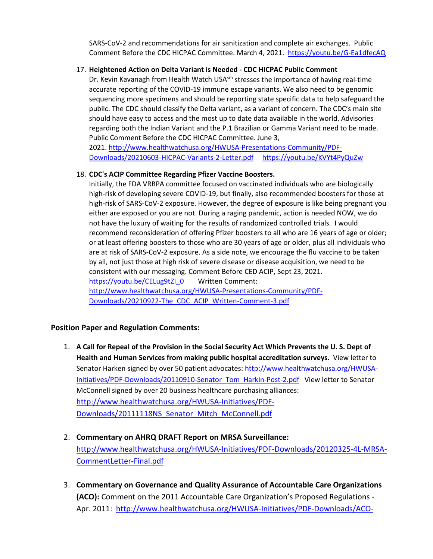SARS-CoV-2 and recommendations for air sanitization and complete air exchanges. Public Comment Before the CDC HICPAC Committee. March 4, 2021. <https://youtu.be/G-Ea1dfecAQ>

# 17. **Heightened Action on Delta Variant is Needed - CDC HICPAC Public Comment**

Dr. Kevin Kavanagh from Health Watch USA $^{5m}$  stresses the importance of having real-time accurate reporting of the COVID-19 immune escape variants. We also need to be genomic sequencing more specimens and should be reporting state specific data to help safeguard the public. The CDC should classify the Delta variant, as a variant of concern. The CDC's main site should have easy to access and the most up to date data available in the world. Advisories regarding both the Indian Variant and the P.1 Brazilian or Gamma Variant need to be made. Public Comment Before the CDC HICPAC Committee. June 3,

2021. [http://www.healthwatchusa.org/HWUSA-Presentations-Community/PDF-](http://www.healthwatchusa.org/HWUSA-Presentations-Community/PDF-Downloads/20210603-HICPAC-Variants-2-Letter.pdf)[Downloads/20210603-HICPAC-Variants-2-Letter.pdf](http://www.healthwatchusa.org/HWUSA-Presentations-Community/PDF-Downloads/20210603-HICPAC-Variants-2-Letter.pdf) <https://youtu.be/KVYt4PyQuZw>

# 18. **CDC's ACIP Committee Regarding Pfizer Vaccine Boosters.**

Initially, the FDA VRBPA committee focused on vaccinated individuals who are biologically high-risk of developing severe COVID-19, but finally, also recommended boosters for those at high-risk of SARS-CoV-2 exposure. However, the degree of exposure is like being pregnant you either are exposed or you are not. During a raging pandemic, action is needed NOW, we do not have the luxury of waiting for the results of randomized controlled trials. I would recommend reconsideration of offering Pfizer boosters to all who are 16 years of age or older; or at least offering boosters to those who are 30 years of age or older, plus all individuals who are at risk of SARS-CoV-2 exposure. As a side note, we encourage the flu vaccine to be taken by all, not just those at high risk of severe disease or disease acquisition, we need to be consistent with our messaging. Comment Before CED ACIP, Sept 23, 2021. https://voutu.be/CELug9tZI\_0 Written Comment: [http://www.healthwatchusa.org/HWUSA-Presentations-Community/PDF-](http://www.healthwatchusa.org/HWUSA-Presentations-Community/PDF-Downloads/20210922-The_CDC_ACIP_Written-Comment-3.pdf)[Downloads/20210922-The\\_CDC\\_ACIP\\_Written-Comment-3.pdf](http://www.healthwatchusa.org/HWUSA-Presentations-Community/PDF-Downloads/20210922-The_CDC_ACIP_Written-Comment-3.pdf) 

# **Position Paper and Regulation Comments:**

- 1. **A Call for Repeal of the Provision in the Social Security Act Which Prevents the U. S. Dept of Health and Human Services from making public hospital accreditation surveys.** View letter to Senator Harken signed by over 50 patient advocates: [http://www.healthwatchusa.org/HWUSA-](http://www.healthwatchusa.org/HWUSA-Initiatives/PDF-Downloads/20110910-Senator_Tom_Harkin-Post-2.pdf)[Initiatives/PDF-Downloads/20110910-Senator\\_Tom\\_Harkin-Post-2.pdf](http://www.healthwatchusa.org/HWUSA-Initiatives/PDF-Downloads/20110910-Senator_Tom_Harkin-Post-2.pdf) View letter to Senator McConnell signed by over 20 business healthcare purchasing alliances: [http://www.healthwatchusa.org/HWUSA-Initiatives/PDF-](http://www.healthwatchusa.org/HWUSA-Initiatives/PDF-Downloads/20111118NS_Senator_Mitch_McConnell.pdf)[Downloads/20111118NS\\_Senator\\_Mitch\\_McConnell.pdf](http://www.healthwatchusa.org/HWUSA-Initiatives/PDF-Downloads/20111118NS_Senator_Mitch_McConnell.pdf)
- 2. **Commentary on AHRQ DRAFT Report on MRSA Surveillance:** [http://www.healthwatchusa.org/HWUSA-Initiatives/PDF-Downloads/20120325-4L-MRSA-](http://www.healthwatchusa.org/HWUSA-Initiatives/PDF-Downloads/20120325-4L-MRSA-CommentLetter-Final.pdf)[CommentLetter-Final.pdf](http://www.healthwatchusa.org/HWUSA-Initiatives/PDF-Downloads/20120325-4L-MRSA-CommentLetter-Final.pdf)
- 3. **Commentary on Governance and Quality Assurance of Accountable Care Organizations (ACO):** Comment on the 2011 Accountable Care Organization's Proposed Regulations Apr. 2011: [http://www.healthwatchusa.org/HWUSA-Initiatives/PDF-Downloads/ACO-](http://www.healthwatchusa.org/HWUSA-Initiatives/PDF-Downloads/ACO-Berwick-11b.pdf)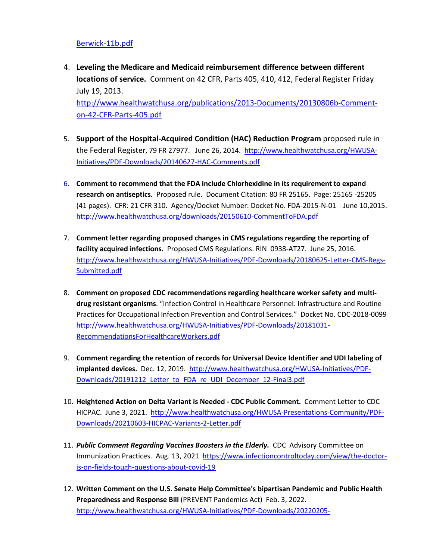### [Berwick-11b.pdf](http://www.healthwatchusa.org/HWUSA-Initiatives/PDF-Downloads/ACO-Berwick-11b.pdf)

- 4. **Leveling the Medicare and Medicaid reimbursement difference between different locations of service.** Comment on 42 CFR, Parts 405, 410, 412, Federal Register Friday July 19, 2013. [http://www.healthwatchusa.org/publications/2013-Documents/20130806b-Comment](http://www.healthwatchusa.org/publications/2013-Documents/20130806b-Comment-on-42-CFR-Parts-405.pdf)[on-42-CFR-Parts-405.pdf](http://www.healthwatchusa.org/publications/2013-Documents/20130806b-Comment-on-42-CFR-Parts-405.pdf)
- 5. **Support of the Hospital-Acquired Condition (HAC) Reduction Program** proposed rule in the Federal Register, 79 FR 27977. June 26, 2014. [http://www.healthwatchusa.org/HWUSA-](http://www.healthwatchusa.org/HWUSA-Initiatives/PDF-Downloads/20140627-HAC-Comments.pdf)[Initiatives/PDF-Downloads/20140627-HAC-Comments.pdf](http://www.healthwatchusa.org/HWUSA-Initiatives/PDF-Downloads/20140627-HAC-Comments.pdf)
- 6. **Comment to recommend that the FDA include Chlorhexidine in its requirement to expand research on antiseptics.** Proposed rule. Document Citation: 80 FR 25165. Page: 25165 -25205 (41 pages). CFR: 21 CFR 310. Agency/Docket Number: Docket No. FDA-2015-N-01 June 10,2015. <http://www.healthwatchusa.org/downloads/20150610-CommentToFDA.pdf>
- 7. **Comment letter regarding proposed changes in CMS regulations regarding the reporting of facility acquired infections.** Proposed CMS Regulations. RIN 0938-AT27. June 25, 2016. [http://www.healthwatchusa.org/HWUSA-Initiatives/PDF-Downloads/20180625-Letter-CMS-Regs-](http://www.healthwatchusa.org/HWUSA-Initiatives/PDF-Downloads/20180625-Letter-CMS-Regs-Submitted.pdf)[Submitted.pdf](http://www.healthwatchusa.org/HWUSA-Initiatives/PDF-Downloads/20180625-Letter-CMS-Regs-Submitted.pdf)
- 8. **Comment on proposed CDC recommendations regarding healthcare worker safety and multidrug resistant organisms**. "Infection Control in Healthcare Personnel: Infrastructure and Routine Practices for Occupational Infection Prevention and Control Services." Docket No. CDC-2018-0099 [http://www.healthwatchusa.org/HWUSA-Initiatives/PDF-Downloads/20181031-](http://www.healthwatchusa.org/HWUSA-Initiatives/PDF-Downloads/20181031-RecommendationsForHealthcareWorkers.pdf) [RecommendationsForHealthcareWorkers.pdf](http://www.healthwatchusa.org/HWUSA-Initiatives/PDF-Downloads/20181031-RecommendationsForHealthcareWorkers.pdf)
- 9. **Comment regarding the retention of records for Universal Device Identifier and UDI labeling of implanted devices.** Dec. 12, 2019. [http://www.healthwatchusa.org/HWUSA-Initiatives/PDF-](http://www.healthwatchusa.org/HWUSA-Initiatives/PDF-Downloads/20191212_Letter_to_FDA_re_UDI_December_12-Final3.pdf)[Downloads/20191212\\_Letter\\_to\\_FDA\\_re\\_UDI\\_December\\_12-Final3.pdf](http://www.healthwatchusa.org/HWUSA-Initiatives/PDF-Downloads/20191212_Letter_to_FDA_re_UDI_December_12-Final3.pdf)
- 10. **Heightened Action on Delta Variant is Needed - CDC Public Comment.** Comment Letter to CDC HICPAC. June 3, 2021. [http://www.healthwatchusa.org/HWUSA-Presentations-Community/PDF-](http://www.healthwatchusa.org/HWUSA-Presentations-Community/PDF-Downloads/20210603-HICPAC-Variants-2-Letter.pdf)[Downloads/20210603-HICPAC-Variants-2-Letter.pdf](http://www.healthwatchusa.org/HWUSA-Presentations-Community/PDF-Downloads/20210603-HICPAC-Variants-2-Letter.pdf)
- 11. *Public Comment Regarding Vaccines Boosters in the Elderly.* CDC Advisory Committee on Immunization Practices. Aug. 13, 2021 [https://www.infectioncontroltoday.com/view/the-doctor](https://www.infectioncontroltoday.com/view/the-doctor-is-on-fields-tough-questions-about-covid-19)[is-on-fields-tough-questions-about-covid-19](https://www.infectioncontroltoday.com/view/the-doctor-is-on-fields-tough-questions-about-covid-19)
- 12. **Written Comment on the U.S. Senate Help Committee's bipartisan Pandemic and Public Health Preparedness and Response Bill** (PREVENT Pandemics Act) Feb. 3, 2022. [http://www.healthwatchusa.org/HWUSA-Initiatives/PDF-Downloads/20220205-](http://www.healthwatchusa.org/HWUSA-Initiatives/PDF-Downloads/20220205-WrittenComment-SenateHELPCommittee.pdf)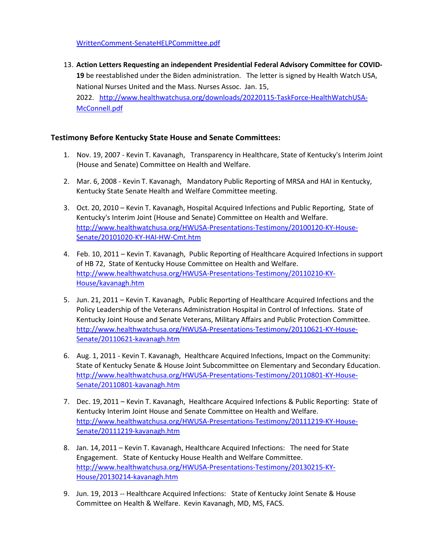[WrittenComment-SenateHELPCommittee.pdf](http://www.healthwatchusa.org/HWUSA-Initiatives/PDF-Downloads/20220205-WrittenComment-SenateHELPCommittee.pdf) 

13. **Action Letters Requesting an independent Presidential Federal Advisory Committee for COVID-19** be reestablished under the Biden administration. The letter is signed by Health Watch USA, National Nurses United and the Mass. Nurses Assoc. Jan. 15, 2022. [http://www.healthwatchusa.org/downloads/20220115-TaskForce-HealthWatchUSA-](http://www.healthwatchusa.org/downloads/20220115-TaskForce-HealthWatchUSA-McConnell.pdf)[McConnell.pdf](http://www.healthwatchusa.org/downloads/20220115-TaskForce-HealthWatchUSA-McConnell.pdf) 

# **Testimony Before Kentucky State House and Senate Committees:**

- 1. Nov. 19, 2007 Kevin T. Kavanagh, Transparency in Healthcare, State of Kentucky's Interim Joint (House and Senate) Committee on Health and Welfare.
- 2. Mar. 6, 2008 Kevin T. Kavanagh, Mandatory Public Reporting of MRSA and HAI in Kentucky, Kentucky State Senate Health and Welfare Committee meeting.
- 3. Oct. 20, 2010 Kevin T. Kavanagh, Hospital Acquired Infections and Public Reporting, State of Kentucky's Interim Joint (House and Senate) Committee on Health and Welfare. [http://www.healthwatchusa.org/HWUSA-Presentations-Testimony/20100120-KY-House-](http://www.healthwatchusa.org/HWUSA-Presentations-Testimony/20100120-KY-House-Senate/20101020-KY-HAI-HW-Cmt.htm)[Senate/20101020-KY-HAI-HW-Cmt.htm](http://www.healthwatchusa.org/HWUSA-Presentations-Testimony/20100120-KY-House-Senate/20101020-KY-HAI-HW-Cmt.htm)
- 4. Feb. 10, 2011 Kevin T. Kavanagh, Public Reporting of Healthcare Acquired Infections in support of HB 72, State of Kentucky House Committee on Health and Welfare. [http://www.healthwatchusa.org/HWUSA-Presentations-Testimony/20110210-KY-](http://www.healthwatchusa.org/HWUSA-Presentations-Testimony/20110210-KY-House/kavanagh.htm)[House/kavanagh.htm](http://www.healthwatchusa.org/HWUSA-Presentations-Testimony/20110210-KY-House/kavanagh.htm)
- 5. Jun. 21, 2011 Kevin T. Kavanagh, Public Reporting of Healthcare Acquired Infections and the Policy Leadership of the Veterans Administration Hospital in Control of Infections. State of Kentucky Joint House and Senate Veterans, Military Affairs and Public Protection Committee. [http://www.healthwatchusa.org/HWUSA-Presentations-Testimony/20110621-KY-House-](http://www.healthwatchusa.org/HWUSA-Presentations-Testimony/20110621-KY-House-Senate/20110621-kavanagh.htm)[Senate/20110621-kavanagh.htm](http://www.healthwatchusa.org/HWUSA-Presentations-Testimony/20110621-KY-House-Senate/20110621-kavanagh.htm)
- 6. Aug. 1, 2011 Kevin T. Kavanagh, Healthcare Acquired Infections, Impact on the Community: State of Kentucky Senate & House Joint Subcommittee on Elementary and Secondary Education. [http://www.healthwatchusa.org/HWUSA-Presentations-Testimony/20110801-KY-House-](http://www.healthwatchusa.org/HWUSA-Presentations-Testimony/20110801-KY-House-Senate/20110801-kavanagh.htm)[Senate/20110801-kavanagh.htm](http://www.healthwatchusa.org/HWUSA-Presentations-Testimony/20110801-KY-House-Senate/20110801-kavanagh.htm)
- 7. Dec. 19, 2011 Kevin T. Kavanagh, Healthcare Acquired Infections & Public Reporting: State of Kentucky Interim Joint House and Senate Committee on Health and Welfare. [http://www.healthwatchusa.org/HWUSA-Presentations-Testimony/20111219-KY-House-](http://www.healthwatchusa.org/HWUSA-Presentations-Testimony/20111219-KY-House-Senate/20111219-kavanagh.htm)[Senate/20111219-kavanagh.htm](http://www.healthwatchusa.org/HWUSA-Presentations-Testimony/20111219-KY-House-Senate/20111219-kavanagh.htm)
- 8. Jan. 14, 2011 Kevin T. Kavanagh, Healthcare Acquired Infections: The need for State Engagement. State of Kentucky House Health and Welfare Committee. [http://www.healthwatchusa.org/HWUSA-Presentations-Testimony/20130215-KY-](http://www.healthwatchusa.org/HWUSA-Presentations-Testimony/20130215-KY-House/20130214-kavanagh.htm)[House/20130214-kavanagh.htm](http://www.healthwatchusa.org/HWUSA-Presentations-Testimony/20130215-KY-House/20130214-kavanagh.htm)
- 9. Jun. 19, 2013 -- Healthcare Acquired Infections: State of Kentucky Joint Senate & House Committee on Health & Welfare. Kevin Kavanagh, MD, MS, FACS.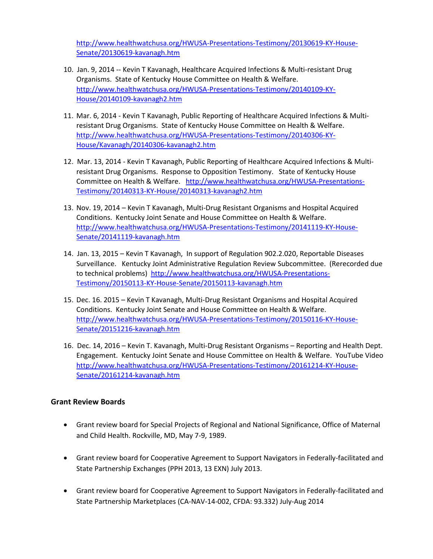[http://www.healthwatchusa.org/HWUSA-Presentations-Testimony/20130619-KY-House-](http://www.healthwatchusa.org/HWUSA-Presentations-Testimony/20130619-KY-House-Senate/20130619-kavanagh.htm)[Senate/20130619-kavanagh.htm](http://www.healthwatchusa.org/HWUSA-Presentations-Testimony/20130619-KY-House-Senate/20130619-kavanagh.htm) 

- 10. Jan. 9, 2014 -- Kevin T Kavanagh, Healthcare Acquired Infections & Multi-resistant Drug Organisms. State of Kentucky House Committee on Health & Welfare. [http://www.healthwatchusa.org/HWUSA-Presentations-Testimony/20140109-KY-](http://www.healthwatchusa.org/HWUSA-Presentations-Testimony/20140109-KY-House/20140109-kavanagh2.htm)[House/20140109-kavanagh2.htm](http://www.healthwatchusa.org/HWUSA-Presentations-Testimony/20140109-KY-House/20140109-kavanagh2.htm)
- 11. Mar. 6, 2014 Kevin T Kavanagh, Public Reporting of Healthcare Acquired Infections & Multiresistant Drug Organisms. State of Kentucky House Committee on Health & Welfare. [http://www.healthwatchusa.org/HWUSA-Presentations-Testimony/20140306-KY-](http://www.healthwatchusa.org/HWUSA-Presentations-Testimony/20140306-KY-House/Kavanagh/20140306-kavanagh2.htm)[House/Kavanagh/20140306-kavanagh2.htm](http://www.healthwatchusa.org/HWUSA-Presentations-Testimony/20140306-KY-House/Kavanagh/20140306-kavanagh2.htm)
- 12. Mar. 13, 2014 Kevin T Kavanagh, Public Reporting of Healthcare Acquired Infections & Multiresistant Drug Organisms. Response to Opposition Testimony. State of Kentucky House Committee on Health & Welfare. [http://www.healthwatchusa.org/HWUSA-Presentations-](http://www.healthwatchusa.org/HWUSA-Presentations-Testimony/20140313-KY-House/20140313-kavanagh2.htm)[Testimony/20140313-KY-House/20140313-kavanagh2.htm](http://www.healthwatchusa.org/HWUSA-Presentations-Testimony/20140313-KY-House/20140313-kavanagh2.htm)
- 13. Nov. 19, 2014 Kevin T Kavanagh, Multi-Drug Resistant Organisms and Hospital Acquired Conditions. Kentucky Joint Senate and House Committee on Health & Welfare. [http://www.healthwatchusa.org/HWUSA-Presentations-Testimony/20141119-KY-House-](http://www.healthwatchusa.org/HWUSA-Presentations-Testimony/20141119-KY-House-Senate/20141119-kavanagh.htm)[Senate/20141119-kavanagh.htm](http://www.healthwatchusa.org/HWUSA-Presentations-Testimony/20141119-KY-House-Senate/20141119-kavanagh.htm)
- 14. Jan. 13, 2015 Kevin T Kavanagh, In support of Regulation 902.2.020, Reportable Diseases Surveillance. Kentucky Joint Administrative Regulation Review Subcommittee. (Rerecorded due to technical problems) [http://www.healthwatchusa.org/HWUSA-Presentations-](http://www.healthwatchusa.org/HWUSA-Presentations-Testimony/20150113-KY-House-Senate/20150113-kavanagh.htm)[Testimony/20150113-KY-House-Senate/20150113-kavanagh.htm](http://www.healthwatchusa.org/HWUSA-Presentations-Testimony/20150113-KY-House-Senate/20150113-kavanagh.htm)
- 15. Dec. 16. 2015 Kevin T Kavanagh, Multi-Drug Resistant Organisms and Hospital Acquired Conditions. Kentucky Joint Senate and House Committee on Health & Welfare. [http://www.healthwatchusa.org/HWUSA-Presentations-Testimony/20150116-KY-House-](http://www.healthwatchusa.org/HWUSA-Presentations-Testimony/20150116-KY-House-Senate/20151216-kavanagh.htm)[Senate/20151216-kavanagh.htm](http://www.healthwatchusa.org/HWUSA-Presentations-Testimony/20150116-KY-House-Senate/20151216-kavanagh.htm)
- 16. Dec. 14, 2016 Kevin T. Kavanagh, Multi-Drug Resistant Organisms Reporting and Health Dept. Engagement. Kentucky Joint Senate and House Committee on Health & Welfare. YouTube Video [http://www.healthwatchusa.org/HWUSA-Presentations-Testimony/20161214-KY-House-](http://www.healthwatchusa.org/HWUSA-Presentations-Testimony/20161214-KY-House-Senate/20161214-kavanagh.htm)[Senate/20161214-kavanagh.htm](http://www.healthwatchusa.org/HWUSA-Presentations-Testimony/20161214-KY-House-Senate/20161214-kavanagh.htm)

# **Grant Review Boards**

- Grant review board for Special Projects of Regional and National Significance, Office of Maternal and Child Health. Rockville, MD, May 7-9, 1989.
- Grant review board for Cooperative Agreement to Support Navigators in Federally-facilitated and State Partnership Exchanges (PPH 2013, 13 EXN) July 2013.
- Grant review board for Cooperative Agreement to Support Navigators in Federally-facilitated and State Partnership Marketplaces (CA-NAV-14-002, CFDA: 93.332) July-Aug 2014